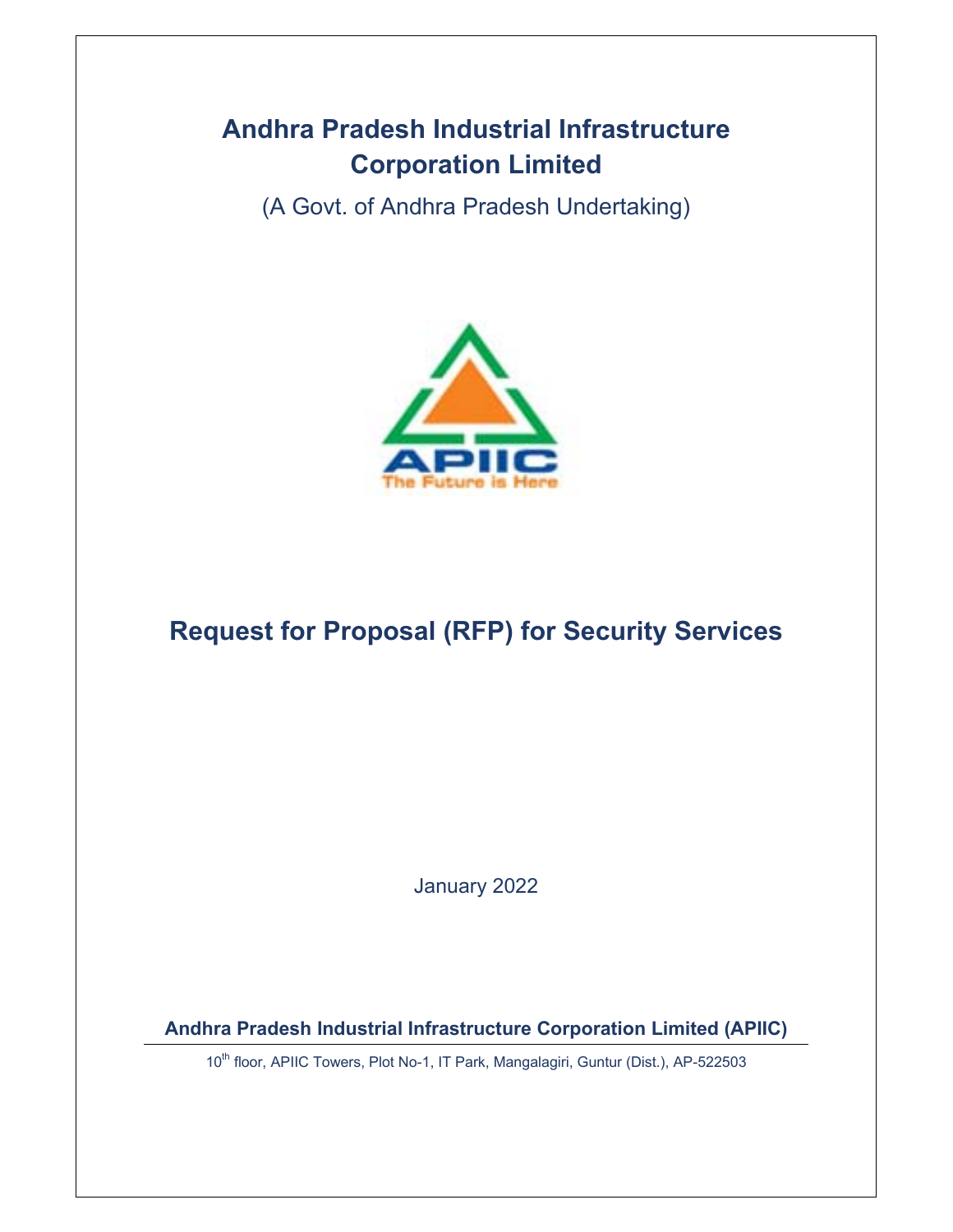# **Andhra Pradesh Industrial Infrastructure Corporation Limited**

(A Govt. of Andhra Pradesh Undertaking)



# **Request for Proposal (RFP) for Security Services**

January 2022

**Andhra Pradesh Industrial Infrastructure Corporation Limited (APIIC)** 

10<sup>th</sup> floor, APIIC Towers, Plot No-1, IT Park, Mangalagiri, Guntur (Dist.), AP-522503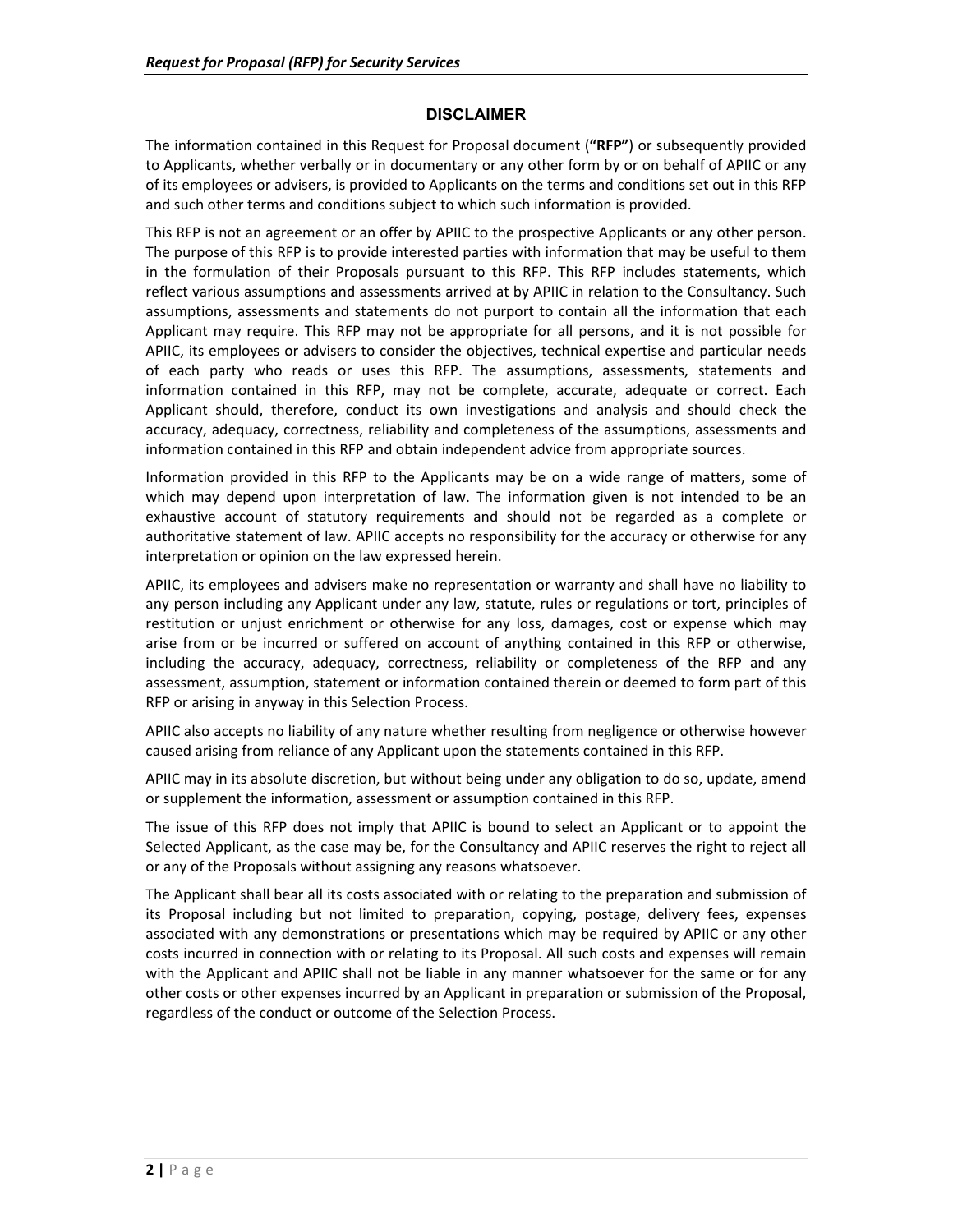#### **DISCLAIMER**

The information contained in this Request for Proposal document (**"RFP"**) or subsequently provided to Applicants, whether verbally or in documentary or any other form by or on behalf of APIIC or any of its employees or advisers, is provided to Applicants on the terms and conditions set out in this RFP and such other terms and conditions subject to which such information is provided.

This RFP is not an agreement or an offer by APIIC to the prospective Applicants or any other person. The purpose of this RFP is to provide interested parties with information that may be useful to them in the formulation of their Proposals pursuant to this RFP. This RFP includes statements, which reflect various assumptions and assessments arrived at by APIIC in relation to the Consultancy. Such assumptions, assessments and statements do not purport to contain all the information that each Applicant may require. This RFP may not be appropriate for all persons, and it is not possible for APIIC, its employees or advisers to consider the objectives, technical expertise and particular needs of each party who reads or uses this RFP. The assumptions, assessments, statements and information contained in this RFP, may not be complete, accurate, adequate or correct. Each Applicant should, therefore, conduct its own investigations and analysis and should check the accuracy, adequacy, correctness, reliability and completeness of the assumptions, assessments and information contained in this RFP and obtain independent advice from appropriate sources.

Information provided in this RFP to the Applicants may be on a wide range of matters, some of which may depend upon interpretation of law. The information given is not intended to be an exhaustive account of statutory requirements and should not be regarded as a complete or authoritative statement of law. APIIC accepts no responsibility for the accuracy or otherwise for any interpretation or opinion on the law expressed herein.

APIIC, its employees and advisers make no representation or warranty and shall have no liability to any person including any Applicant under any law, statute, rules or regulations or tort, principles of restitution or unjust enrichment or otherwise for any loss, damages, cost or expense which may arise from or be incurred or suffered on account of anything contained in this RFP or otherwise, including the accuracy, adequacy, correctness, reliability or completeness of the RFP and any assessment, assumption, statement or information contained therein or deemed to form part of this RFP or arising in anyway in this Selection Process.

APIIC also accepts no liability of any nature whether resulting from negligence or otherwise however caused arising from reliance of any Applicant upon the statements contained in this RFP.

APIIC may in its absolute discretion, but without being under any obligation to do so, update, amend or supplement the information, assessment or assumption contained in this RFP.

The issue of this RFP does not imply that APIIC is bound to select an Applicant or to appoint the Selected Applicant, as the case may be, for the Consultancy and APIIC reserves the right to reject all or any of the Proposals without assigning any reasons whatsoever.

The Applicant shall bear all its costs associated with or relating to the preparation and submission of its Proposal including but not limited to preparation, copying, postage, delivery fees, expenses associated with any demonstrations or presentations which may be required by APIIC or any other costs incurred in connection with or relating to its Proposal. All such costs and expenses will remain with the Applicant and APIIC shall not be liable in any manner whatsoever for the same or for any other costs or other expenses incurred by an Applicant in preparation or submission of the Proposal, regardless of the conduct or outcome of the Selection Process.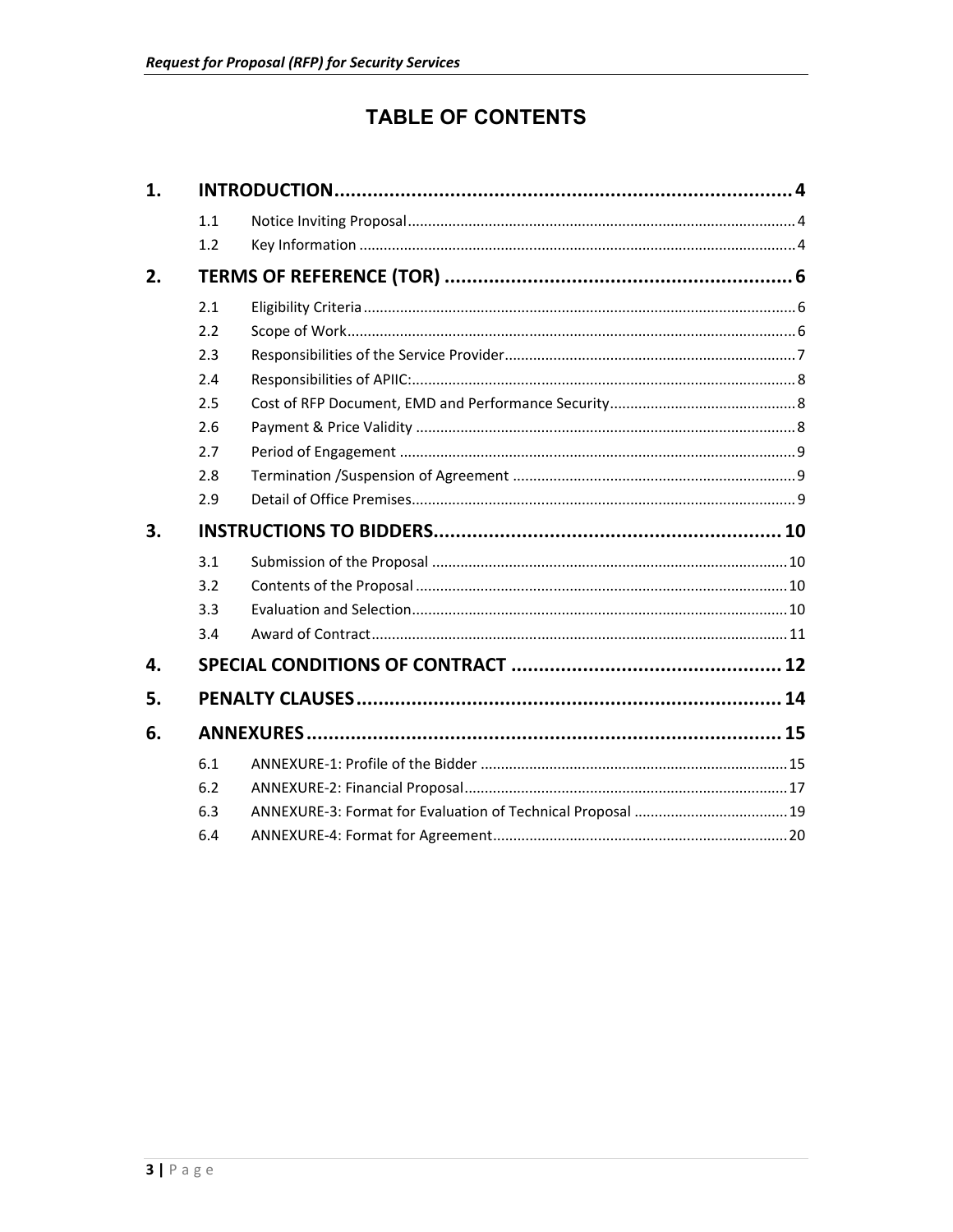## **TABLE OF CONTENTS**

| 1. |     |  |  |  |  |  |
|----|-----|--|--|--|--|--|
|    | 1.1 |  |  |  |  |  |
|    | 1.2 |  |  |  |  |  |
| 2. |     |  |  |  |  |  |
|    | 2.1 |  |  |  |  |  |
|    | 2.2 |  |  |  |  |  |
|    | 2.3 |  |  |  |  |  |
|    | 2.4 |  |  |  |  |  |
|    | 2.5 |  |  |  |  |  |
|    | 2.6 |  |  |  |  |  |
|    | 2.7 |  |  |  |  |  |
|    | 2.8 |  |  |  |  |  |
|    | 2.9 |  |  |  |  |  |
|    |     |  |  |  |  |  |
| 3. |     |  |  |  |  |  |
|    | 3.1 |  |  |  |  |  |
|    | 3.2 |  |  |  |  |  |
|    | 3.3 |  |  |  |  |  |
|    | 3.4 |  |  |  |  |  |
| 4. |     |  |  |  |  |  |
| 5. |     |  |  |  |  |  |
| 6. |     |  |  |  |  |  |
|    | 6.1 |  |  |  |  |  |
|    | 6.2 |  |  |  |  |  |
|    | 6.3 |  |  |  |  |  |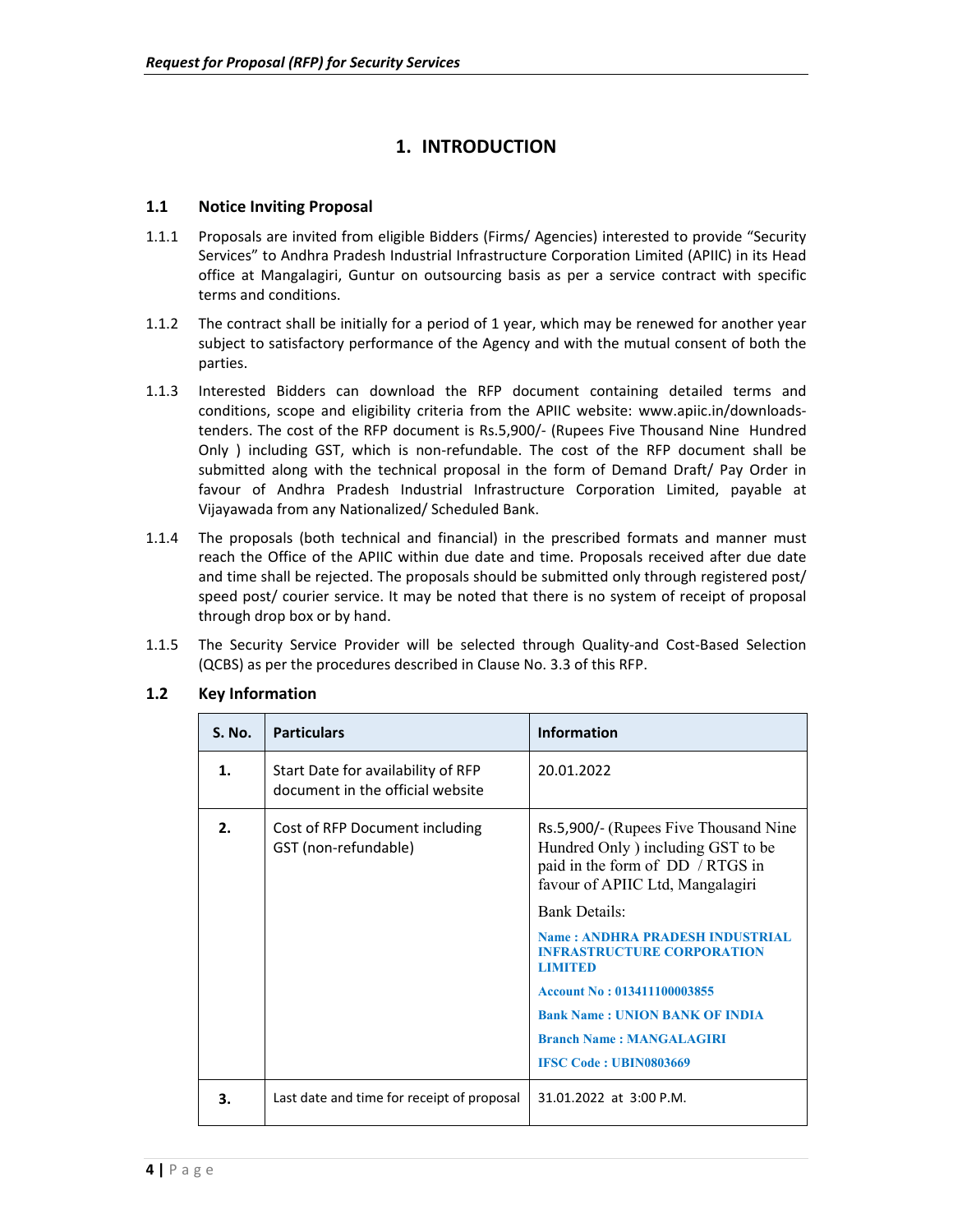## **1. INTRODUCTION**

#### **1.1 Notice Inviting Proposal**

- 1.1.1 Proposals are invited from eligible Bidders (Firms/ Agencies) interested to provide "Security Services" to Andhra Pradesh Industrial Infrastructure Corporation Limited (APIIC) in its Head office at Mangalagiri, Guntur on outsourcing basis as per a service contract with specific terms and conditions.
- 1.1.2 The contract shall be initially for a period of 1 year, which may be renewed for another year subject to satisfactory performance of the Agency and with the mutual consent of both the parties.
- 1.1.3 Interested Bidders can download the RFP document containing detailed terms and conditions, scope and eligibility criteria from the APIIC website: www.apiic.in/downloadstenders. The cost of the RFP document is Rs.5,900/‐ (Rupees Five Thousand Nine Hundred Only ) including GST, which is non-refundable. The cost of the RFP document shall be submitted along with the technical proposal in the form of Demand Draft/ Pay Order in favour of Andhra Pradesh Industrial Infrastructure Corporation Limited, payable at Vijayawada from any Nationalized/ Scheduled Bank.
- 1.1.4 The proposals (both technical and financial) in the prescribed formats and manner must reach the Office of the APIIC within due date and time. Proposals received after due date and time shall be rejected. The proposals should be submitted only through registered post/ speed post/ courier service. It may be noted that there is no system of receipt of proposal through drop box or by hand.
- 1.1.5 The Security Service Provider will be selected through Quality-and Cost-Based Selection (QCBS) as per the procedures described in Clause No. 3.3 of this RFP.

| <b>S. No.</b>  | <b>Particulars</b>                                                     | <b>Information</b>                                                                                                                                                                                                                                                                                                                                                                                                       |
|----------------|------------------------------------------------------------------------|--------------------------------------------------------------------------------------------------------------------------------------------------------------------------------------------------------------------------------------------------------------------------------------------------------------------------------------------------------------------------------------------------------------------------|
| $\mathbf{1}$ . | Start Date for availability of RFP<br>document in the official website | 20.01.2022                                                                                                                                                                                                                                                                                                                                                                                                               |
| $\mathbf{p}$ . | Cost of RFP Document including<br>GST (non-refundable)                 | Rs.5,900/- (Rupees Five Thousand Nine<br>Hundred Only ) including GST to be<br>paid in the form of DD / RTGS in<br>favour of APIIC Ltd, Mangalagiri<br><b>Bank Details:</b><br><b>Name: ANDHRA PRADESH INDUSTRIAL</b><br><b>INFRASTRUCTURE CORPORATION</b><br><b>LIMITED</b><br>Account No: 013411100003855<br><b>Bank Name: UNION BANK OF INDIA</b><br><b>Branch Name: MANGALAGIRI</b><br><b>IFSC Code: UBIN0803669</b> |
| 3.             | Last date and time for receipt of proposal                             | $31.01.2022$ at $3:00$ P.M.                                                                                                                                                                                                                                                                                                                                                                                              |

#### **1.2 Key Information**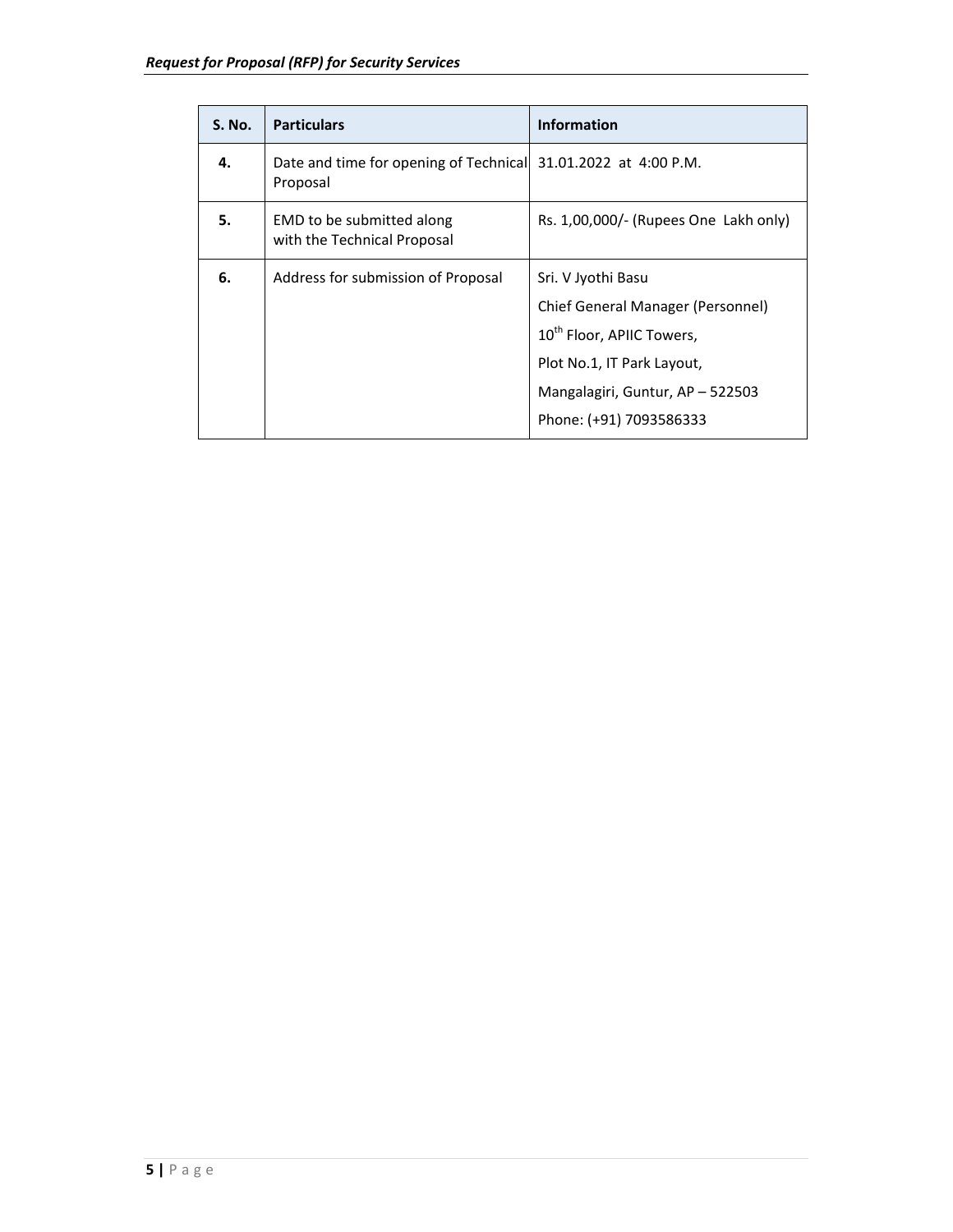| <b>S. No.</b> | <b>Particulars</b>                                                         | <b>Information</b>                                                                                                                                                                            |
|---------------|----------------------------------------------------------------------------|-----------------------------------------------------------------------------------------------------------------------------------------------------------------------------------------------|
| 4.            | Date and time for opening of Technical 31.01.2022 at 4:00 P.M.<br>Proposal |                                                                                                                                                                                               |
| 5.            | EMD to be submitted along<br>with the Technical Proposal                   | Rs. 1,00,000/- (Rupees One Lakh only)                                                                                                                                                         |
| 6.            | Address for submission of Proposal                                         | Sri. V Jyothi Basu<br>Chief General Manager (Personnel)<br>10 <sup>th</sup> Floor, APIIC Towers,<br>Plot No.1, IT Park Layout,<br>Mangalagiri, Guntur, AP - 522503<br>Phone: (+91) 7093586333 |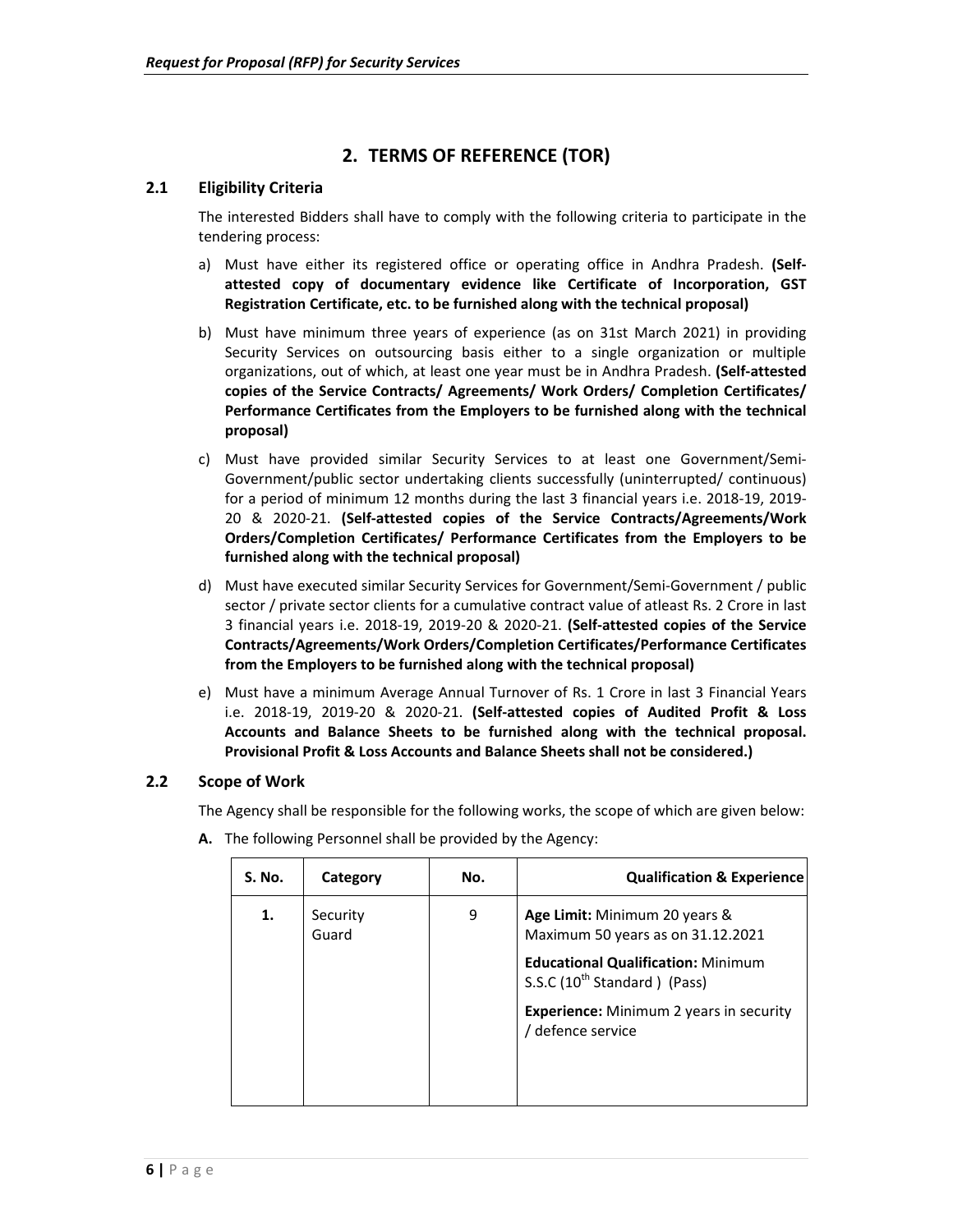### **2. TERMS OF REFERENCE (TOR)**

#### **2.1 Eligibility Criteria**

The interested Bidders shall have to comply with the following criteria to participate in the tendering process:

- a) Must have either its registered office or operating office in Andhra Pradesh. **(Self‐ attested copy of documentary evidence like Certificate of Incorporation, GST Registration Certificate, etc. to be furnished along with the technical proposal)**
- b) Must have minimum three vears of experience (as on 31st March 2021) in providing Security Services on outsourcing basis either to a single organization or multiple organizations, out of which, at least one year must be in Andhra Pradesh. **(Self‐attested copies of the Service Contracts/ Agreements/ Work Orders/ Completion Certificates/ Performance Certificates from the Employers to be furnished along with the technical proposal)**
- c) Must have provided similar Security Services to at least one Government/Semi-Government/public sector undertaking clients successfully (uninterrupted/ continuous) for a period of minimum 12 months during the last 3 financial years i.e. 2018‐19, 2019‐ 20 & 2020‐21. **(Self‐attested copies of the Service Contracts/Agreements/Work Orders/Completion Certificates/ Performance Certificates from the Employers to be furnished along with the technical proposal)**
- d) Must have executed similar Security Services for Government/Semi‐Government / public sector / private sector clients for a cumulative contract value of atleast Rs. 2 Crore in last 3 financial years i.e. 2018‐19, 2019‐20 & 2020‐21. **(Self‐attested copies of the Service Contracts/Agreements/Work Orders/Completion Certificates/Performance Certificates from the Employers to be furnished along with the technical proposal)**
- e) Must have a minimum Average Annual Turnover of Rs. 1 Crore in last 3 Financial Years i.e. 2018‐19, 2019‐20 & 2020‐21. **(Self‐attested copies of Audited Profit & Loss Accounts and Balance Sheets to be furnished along with the technical proposal. Provisional Profit & Loss Accounts and Balance Sheets shall not be considered.)**

#### **2.2 Scope of Work**

The Agency shall be responsible for the following works, the scope of which are given below:

| S. No. | Category          | No. | <b>Qualification &amp; Experience</b>                                                 |
|--------|-------------------|-----|---------------------------------------------------------------------------------------|
| 1.     | Security<br>Guard | 9   | Age Limit: Minimum 20 years &<br>Maximum 50 years as on 31.12.2021                    |
|        |                   |     | <b>Educational Qualification: Minimum</b><br>S.S.C (10 <sup>th</sup> Standard) (Pass) |
|        |                   |     | <b>Experience:</b> Minimum 2 years in security<br>/ defence service                   |

**A.**  The following Personnel shall be provided by the Agency: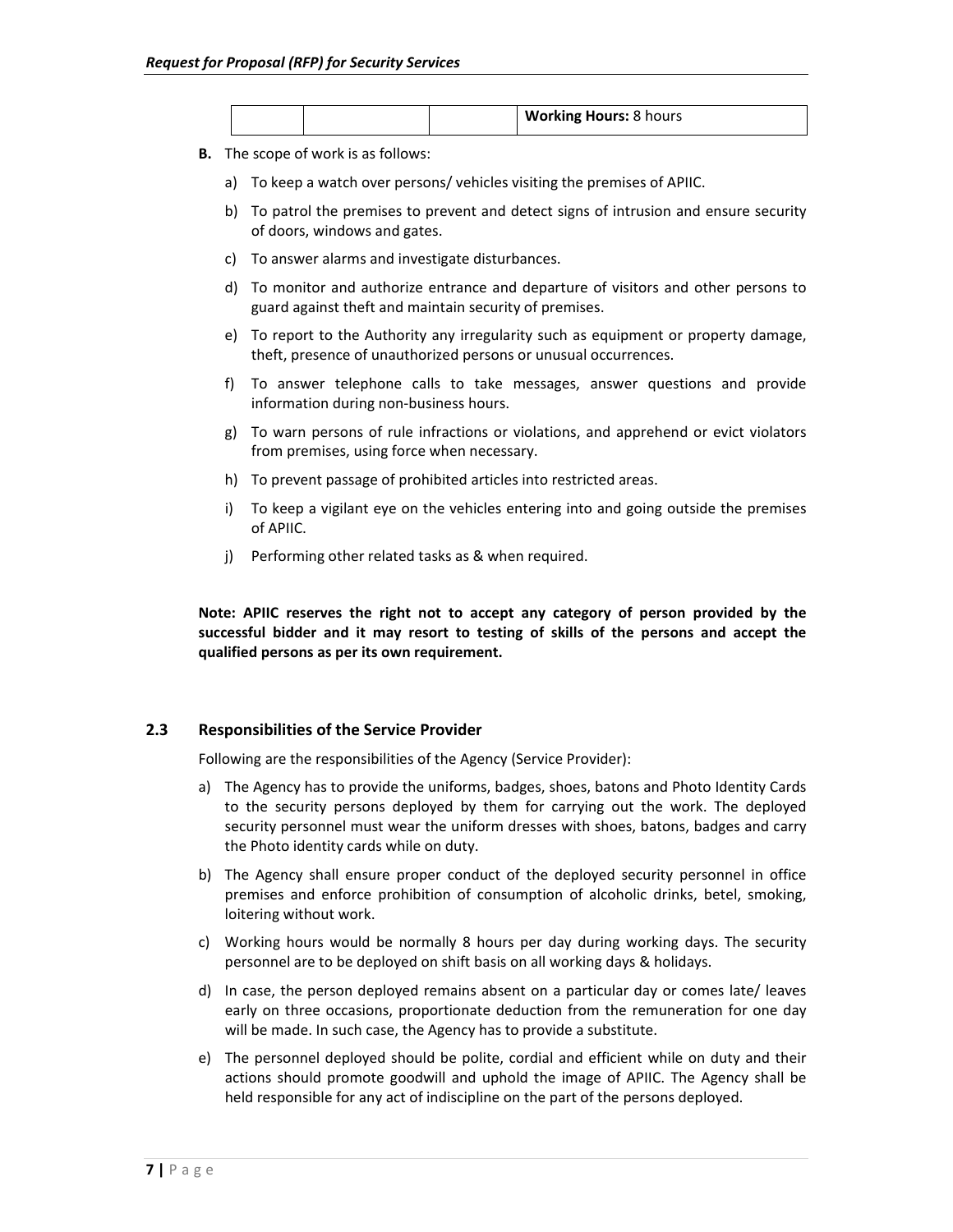|  | <b>Working Hours: 8 hours</b> |
|--|-------------------------------|
|--|-------------------------------|

- **B.**  The scope of work is as follows:
	- a) To keep a watch over persons/ vehicles visiting the premises of APIIC.
	- b) To patrol the premises to prevent and detect signs of intrusion and ensure security of doors, windows and gates.
	- c) To answer alarms and investigate disturbances.
	- d) To monitor and authorize entrance and departure of visitors and other persons to guard against theft and maintain security of premises.
	- e) To report to the Authority any irregularity such as equipment or property damage, theft, presence of unauthorized persons or unusual occurrences.
	- f) To answer telephone calls to take messages, answer questions and provide information during non‐business hours.
	- g) To warn persons of rule infractions or violations, and apprehend or evict violators from premises, using force when necessary.
	- h) To prevent passage of prohibited articles into restricted areas.
	- i) To keep a vigilant eye on the vehicles entering into and going outside the premises of APIIC.
	- j) Performing other related tasks as & when required.

**Note: APIIC reserves the right not to accept any category of person provided by the successful bidder and it may resort to testing of skills of the persons and accept the qualified persons as per its own requirement.** 

#### **2.3 Responsibilities of the Service Provider**

Following are the responsibilities of the Agency (Service Provider):

- a) The Agency has to provide the uniforms, badges, shoes, batons and Photo Identity Cards to the security persons deployed by them for carrying out the work. The deployed security personnel must wear the uniform dresses with shoes, batons, badges and carry the Photo identity cards while on duty.
- b) The Agency shall ensure proper conduct of the deployed security personnel in office premises and enforce prohibition of consumption of alcoholic drinks, betel, smoking, loitering without work.
- c) Working hours would be normally 8 hours per day during working days. The security personnel are to be deployed on shift basis on all working days & holidays.
- d) In case, the person deployed remains absent on a particular day or comes late/ leaves early on three occasions, proportionate deduction from the remuneration for one day will be made. In such case, the Agency has to provide a substitute.
- e) The personnel deployed should be polite, cordial and efficient while on duty and their actions should promote goodwill and uphold the image of APIIC. The Agency shall be held responsible for any act of indiscipline on the part of the persons deployed.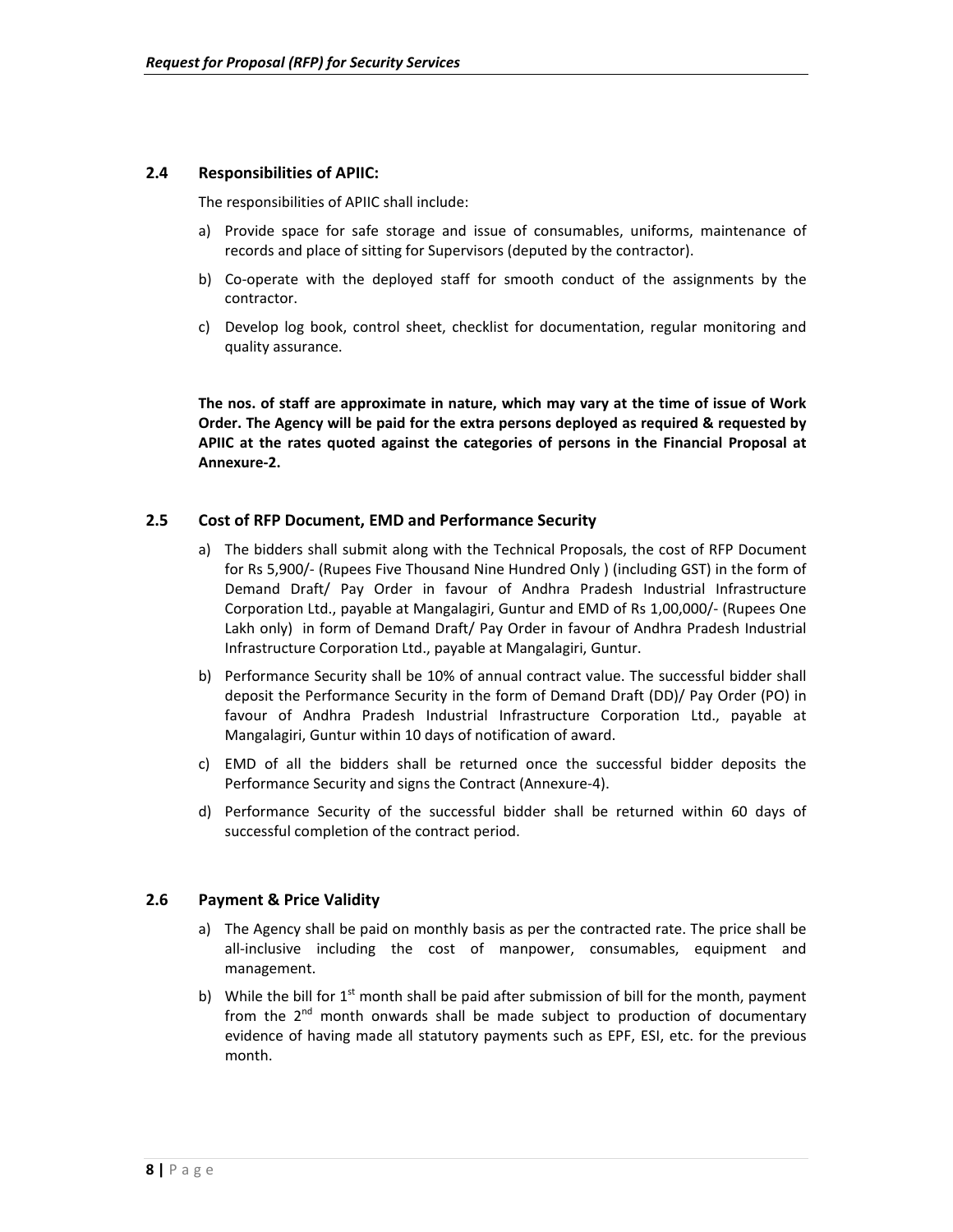#### **2.4 Responsibilities of APIIC:**

The responsibilities of APIIC shall include:

- a) Provide space for safe storage and issue of consumables, uniforms, maintenance of records and place of sitting for Supervisors (deputed by the contractor).
- b) Co-operate with the deployed staff for smooth conduct of the assignments by the contractor.
- c) Develop log book, control sheet, checklist for documentation, regular monitoring and quality assurance.

**The nos. of staff are approximate in nature, which may vary at the time of issue of Work Order. The Agency will be paid for the extra persons deployed as required & requested by APIIC at the rates quoted against the categories of persons in the Financial Proposal at Annexure‐2.**

#### **2.5 Cost of RFP Document, EMD and Performance Security**

- a) The bidders shall submit along with the Technical Proposals, the cost of RFP Document for Rs 5,900/‐ (Rupees Five Thousand Nine Hundred Only ) (including GST) in the form of Demand Draft/ Pay Order in favour of Andhra Pradesh Industrial Infrastructure Corporation Ltd., payable at Mangalagiri, Guntur and EMD of Rs 1,00,000/‐ (Rupees One Lakh only) in form of Demand Draft/ Pay Order in favour of Andhra Pradesh Industrial Infrastructure Corporation Ltd., payable at Mangalagiri, Guntur.
- b) Performance Security shall be 10% of annual contract value. The successful bidder shall deposit the Performance Security in the form of Demand Draft (DD)/ Pay Order (PO) in favour of Andhra Pradesh Industrial Infrastructure Corporation Ltd., payable at Mangalagiri, Guntur within 10 days of notification of award.
- c) EMD of all the bidders shall be returned once the successful bidder deposits the Performance Security and signs the Contract (Annexure‐4).
- d) Performance Security of the successful bidder shall be returned within 60 days of successful completion of the contract period.

#### **2.6 Payment & Price Validity**

- a) The Agency shall be paid on monthly basis as per the contracted rate. The price shall be all-inclusive including the cost of manpower, consumables, equipment and management.
- b) While the bill for  $1<sup>st</sup>$  month shall be paid after submission of bill for the month, payment from the  $2<sup>nd</sup>$  month onwards shall be made subject to production of documentary evidence of having made all statutory payments such as EPF, ESI, etc. for the previous month.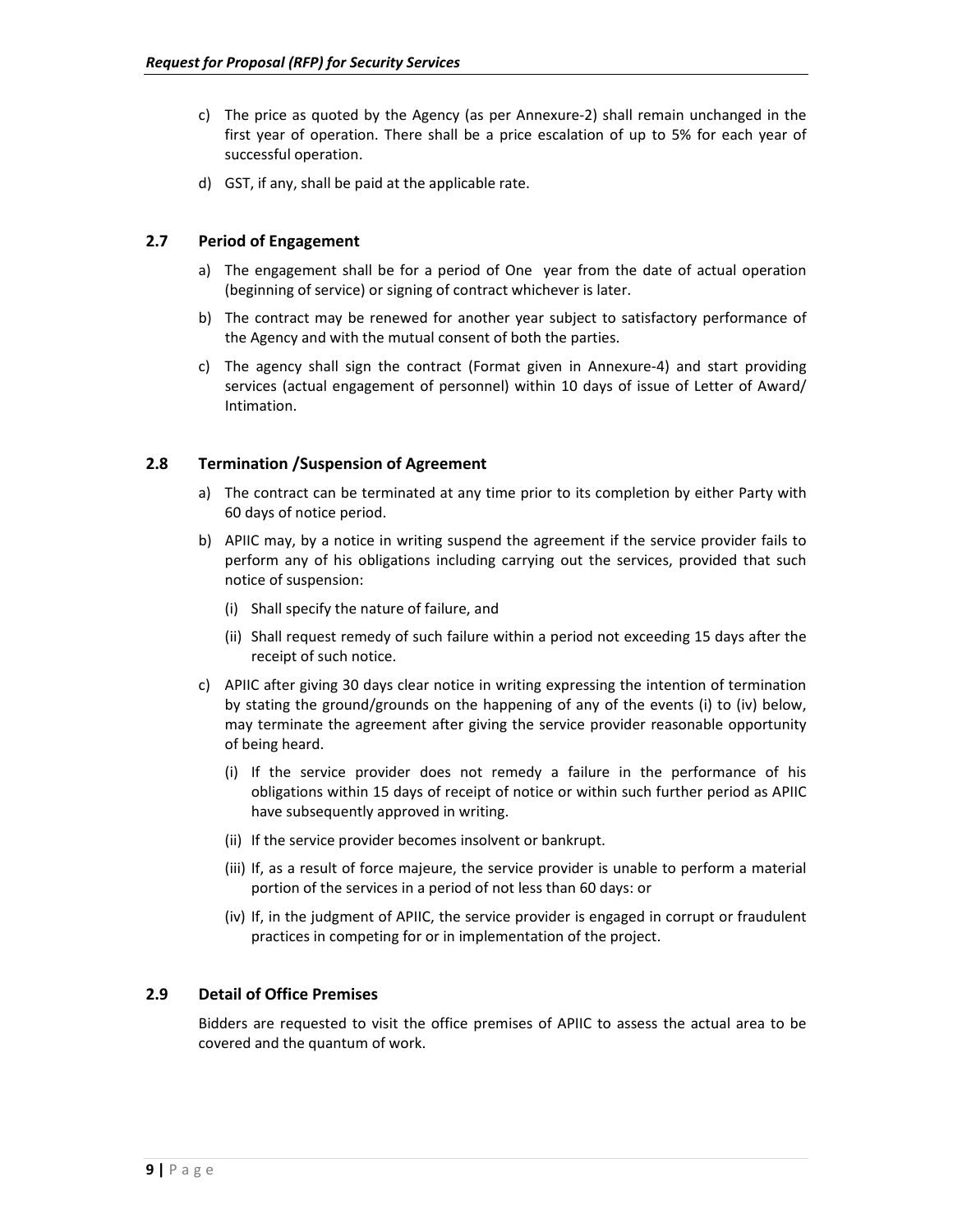- c) The price as quoted by the Agency (as per Annexure-2) shall remain unchanged in the first year of operation. There shall be a price escalation of up to 5% for each year of successful operation.
- d) GST, if any, shall be paid at the applicable rate.

#### **2.7 Period of Engagement**

- a) The engagement shall be for a period of One year from the date of actual operation (beginning of service) or signing of contract whichever is later.
- b) The contract may be renewed for another year subject to satisfactory performance of the Agency and with the mutual consent of both the parties.
- c) The agency shall sign the contract (Format given in Annexure-4) and start providing services (actual engagement of personnel) within 10 days of issue of Letter of Award/ Intimation.

#### **2.8 Termination /Suspension of Agreement**

- a) The contract can be terminated at any time prior to its completion by either Party with 60 days of notice period.
- b) APIIC may, by a notice in writing suspend the agreement if the service provider fails to perform any of his obligations including carrying out the services, provided that such notice of suspension:
	- (i) Shall specify the nature of failure, and
	- (ii) Shall request remedy of such failure within a period not exceeding 15 days after the receipt of such notice.
- c) APIIC after giving 30 days clear notice in writing expressing the intention of termination by stating the ground/grounds on the happening of any of the events (i) to (iv) below, may terminate the agreement after giving the service provider reasonable opportunity of being heard.
	- (i) If the service provider does not remedy a failure in the performance of his obligations within 15 days of receipt of notice or within such further period as APIIC have subsequently approved in writing.
	- (ii) If the service provider becomes insolvent or bankrupt.
	- (iii) If, as a result of force majeure, the service provider is unable to perform a material portion of the services in a period of not less than 60 days: or
	- (iv) If, in the judgment of APIIC, the service provider is engaged in corrupt or fraudulent practices in competing for or in implementation of the project.

#### **2.9 Detail of Office Premises**

Bidders are requested to visit the office premises of APIIC to assess the actual area to be covered and the quantum of work.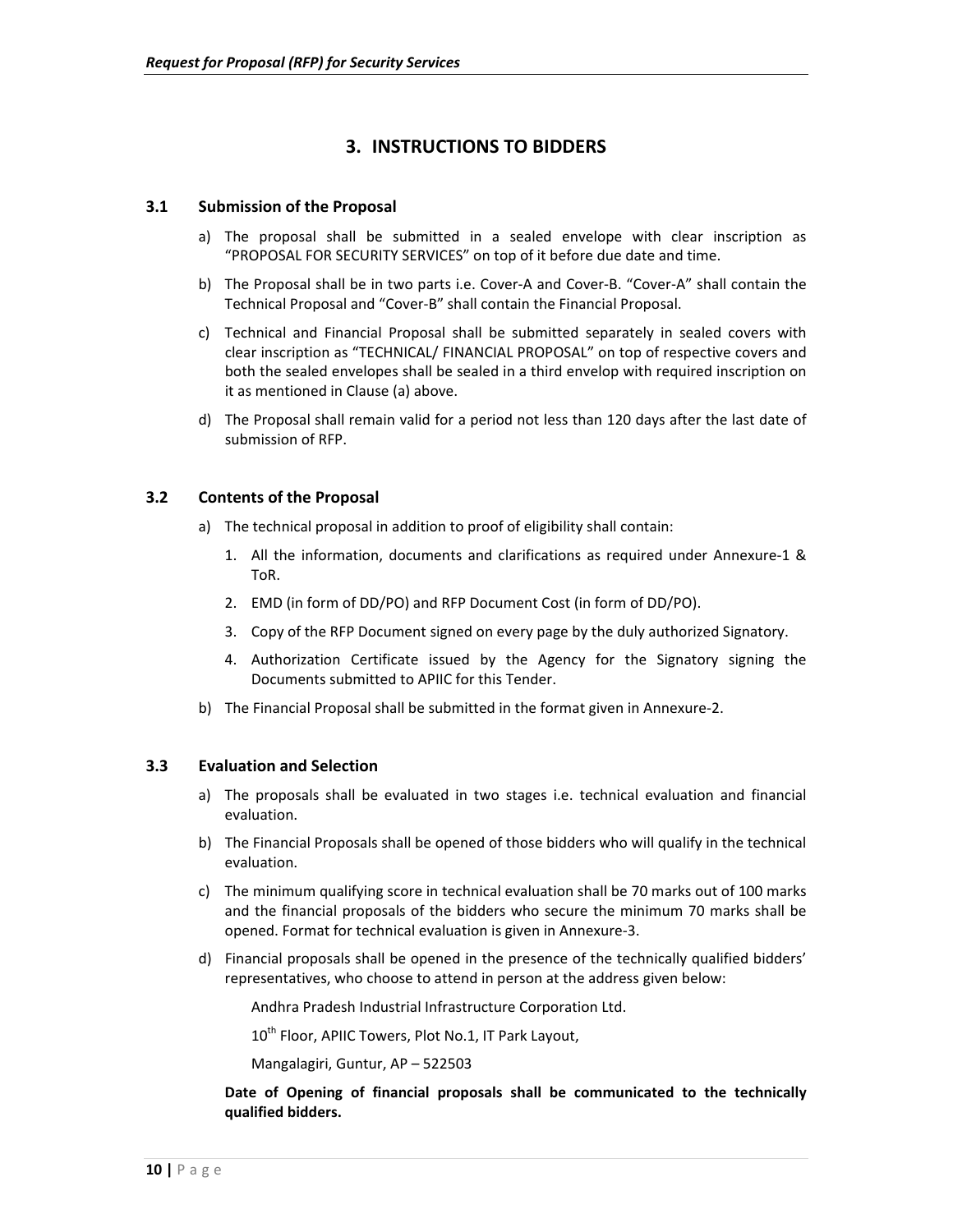## **3. INSTRUCTIONS TO BIDDERS**

#### **3.1 Submission of the Proposal**

- a) The proposal shall be submitted in a sealed envelope with clear inscription as "PROPOSAL FOR SECURITY SERVICES" on top of it before due date and time.
- b) The Proposal shall be in two parts i.e. Cover‐A and Cover‐B. "Cover‐A" shall contain the Technical Proposal and "Cover‐B" shall contain the Financial Proposal.
- c) Technical and Financial Proposal shall be submitted separately in sealed covers with clear inscription as "TECHNICAL/ FINANCIAL PROPOSAL" on top of respective covers and both the sealed envelopes shall be sealed in a third envelop with required inscription on it as mentioned in Clause (a) above.
- d) The Proposal shall remain valid for a period not less than 120 days after the last date of submission of RFP.

#### **3.2 Contents of the Proposal**

- a) The technical proposal in addition to proof of eligibility shall contain:
	- 1. All the information, documents and clarifications as required under Annexure-1 & ToR.
	- 2. EMD (in form of DD/PO) and RFP Document Cost (in form of DD/PO).
	- 3. Copy of the RFP Document signed on every page by the duly authorized Signatory.
	- 4. Authorization Certificate issued by the Agency for the Signatory signing the Documents submitted to APIIC for this Tender.
- b) The Financial Proposal shall be submitted in the format given in Annexure‐2.

#### **3.3 Evaluation and Selection**

- a) The proposals shall be evaluated in two stages i.e. technical evaluation and financial evaluation.
- b) The Financial Proposals shall be opened of those bidders who will qualify in the technical evaluation.
- c) The minimum qualifying score in technical evaluation shall be 70 marks out of 100 marks and the financial proposals of the bidders who secure the minimum 70 marks shall be opened. Format for technical evaluation is given in Annexure‐3.
- d) Financial proposals shall be opened in the presence of the technically qualified bidders' representatives, who choose to attend in person at the address given below:

Andhra Pradesh Industrial Infrastructure Corporation Ltd.

10<sup>th</sup> Floor, APIIC Towers, Plot No.1, IT Park Layout,

Mangalagiri, Guntur, AP – 522503

**Date of Opening of financial proposals shall be communicated to the technically qualified bidders.**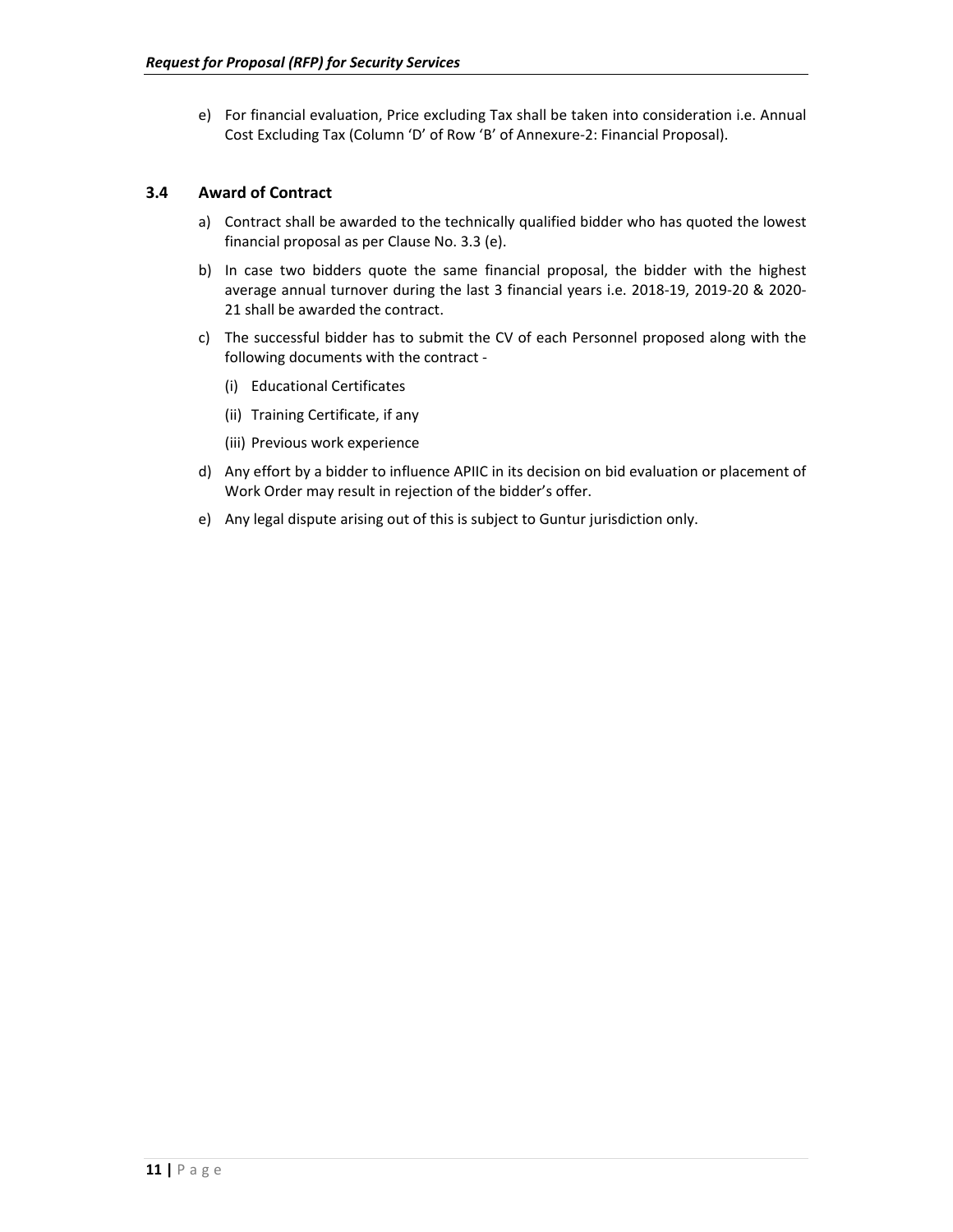e) For financial evaluation, Price excluding Tax shall be taken into consideration i.e. Annual Cost Excluding Tax (Column 'D' of Row 'B' of Annexure‐2: Financial Proposal).

#### **3.4 Award of Contract**

- a) Contract shall be awarded to the technically qualified bidder who has quoted the lowest financial proposal as per Clause No. 3.3 (e).
- b) In case two bidders quote the same financial proposal, the bidder with the highest average annual turnover during the last 3 financial years i.e. 2018‐19, 2019‐20 & 2020‐ 21 shall be awarded the contract.
- c) The successful bidder has to submit the CV of each Personnel proposed along with the following documents with the contract ‐
	- (i) Educational Certificates
	- (ii) Training Certificate, if any
	- (iii) Previous work experience
- d) Any effort by a bidder to influence APIIC in its decision on bid evaluation or placement of Work Order may result in rejection of the bidder's offer.
- e) Any legal dispute arising out of this is subject to Guntur jurisdiction only.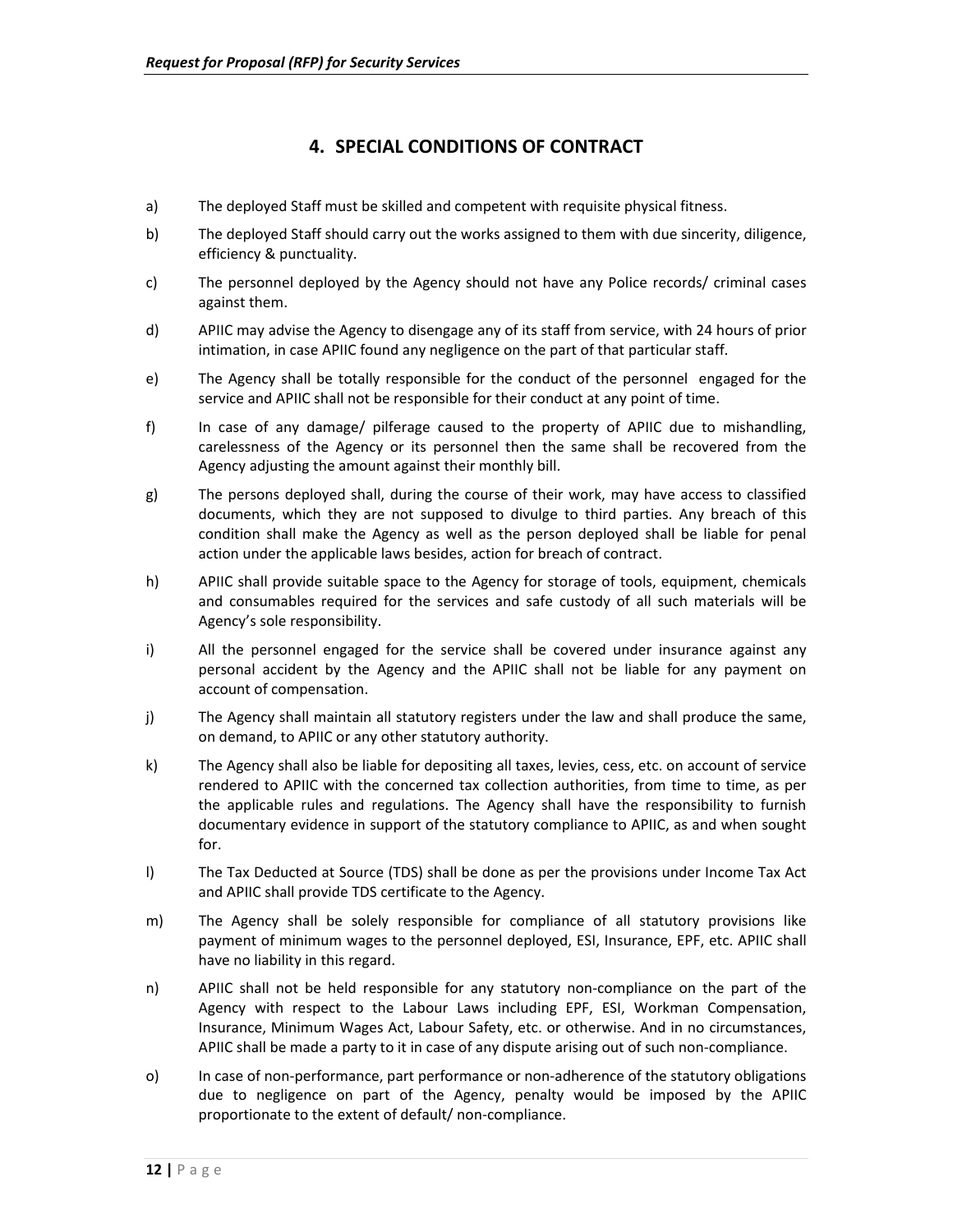### **4. SPECIAL CONDITIONS OF CONTRACT**

- a) The deployed Staff must be skilled and competent with requisite physical fitness.
- b) The deployed Staff should carry out the works assigned to them with due sincerity, diligence, efficiency & punctuality.
- c) The personnel deployed by the Agency should not have any Police records/ criminal cases against them.
- d) APIIC may advise the Agency to disengage any of its staff from service, with 24 hours of prior intimation, in case APIIC found any negligence on the part of that particular staff.
- e) The Agency shall be totally responsible for the conduct of the personnel engaged for the service and APIIC shall not be responsible for their conduct at any point of time.
- f) In case of any damage/ pilferage caused to the property of APIIC due to mishandling, carelessness of the Agency or its personnel then the same shall be recovered from the Agency adjusting the amount against their monthly bill.
- g) The persons deployed shall, during the course of their work, may have access to classified documents, which they are not supposed to divulge to third parties. Any breach of this condition shall make the Agency as well as the person deployed shall be liable for penal action under the applicable laws besides, action for breach of contract.
- h) APIIC shall provide suitable space to the Agency for storage of tools, equipment, chemicals and consumables required for the services and safe custody of all such materials will be Agency's sole responsibility.
- i) All the personnel engaged for the service shall be covered under insurance against any personal accident by the Agency and the APIIC shall not be liable for any payment on account of compensation.
- j) The Agency shall maintain all statutory registers under the law and shall produce the same, on demand, to APIIC or any other statutory authority.
- k) The Agency shall also be liable for depositing all taxes, levies, cess, etc. on account of service rendered to APIIC with the concerned tax collection authorities, from time to time, as per the applicable rules and regulations. The Agency shall have the responsibility to furnish documentary evidence in support of the statutory compliance to APIIC, as and when sought for.
- l) The Tax Deducted at Source (TDS) shall be done as per the provisions under Income Tax Act and APIIC shall provide TDS certificate to the Agency.
- m) The Agency shall be solely responsible for compliance of all statutory provisions like payment of minimum wages to the personnel deployed, ESI, Insurance, EPF, etc. APIIC shall have no liability in this regard.
- n) APIIC shall not be held responsible for any statutory non-compliance on the part of the Agency with respect to the Labour Laws including EPF, ESI, Workman Compensation, Insurance, Minimum Wages Act, Labour Safety, etc. or otherwise. And in no circumstances, APIIC shall be made a party to it in case of any dispute arising out of such non‐compliance.
- o) In case of non-performance, part performance or non-adherence of the statutory obligations due to negligence on part of the Agency, penalty would be imposed by the APIIC proportionate to the extent of default/ non‐compliance.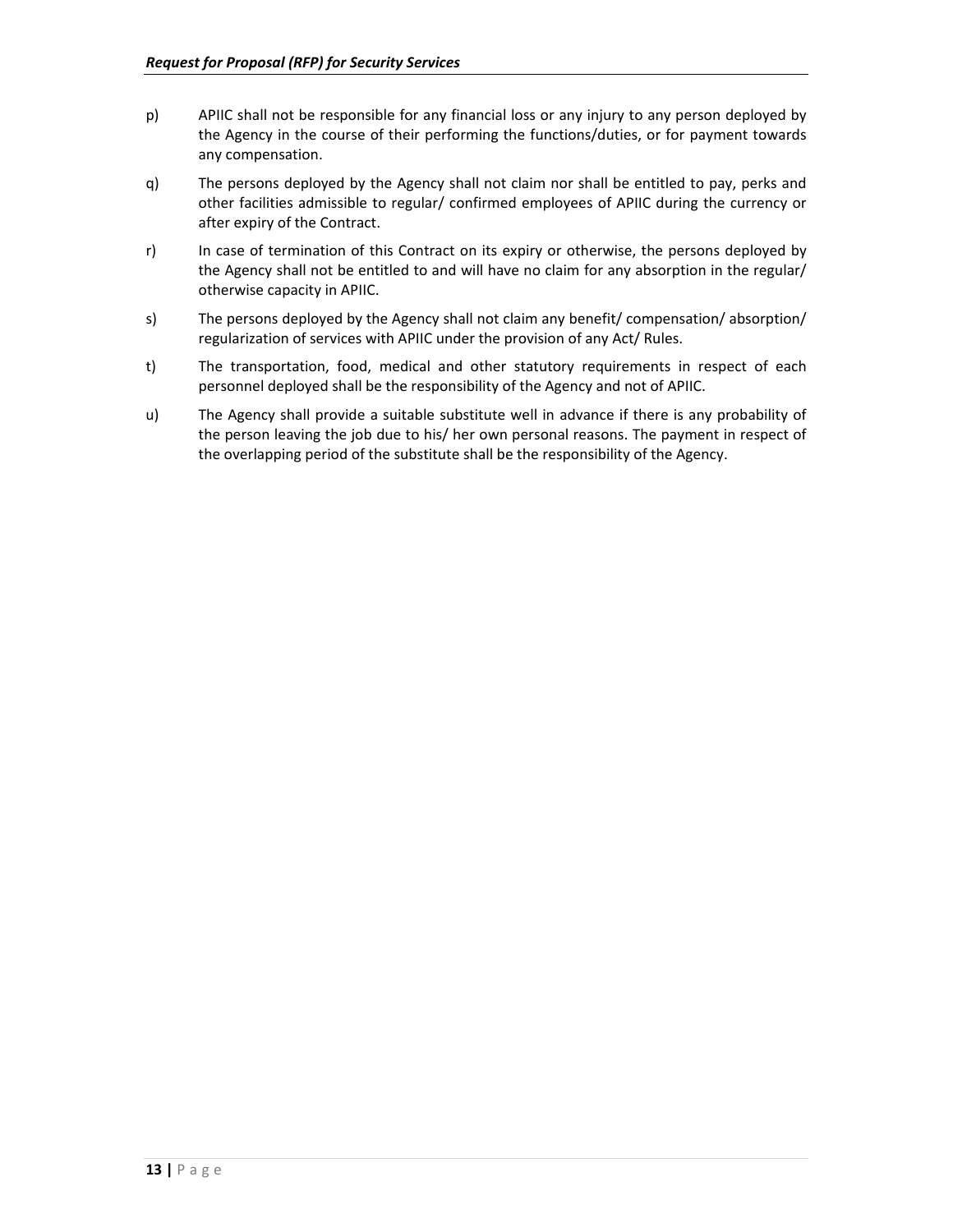- p) APIIC shall not be responsible for any financial loss or any injury to any person deployed by the Agency in the course of their performing the functions/duties, or for payment towards any compensation.
- q) The persons deployed by the Agency shall not claim nor shall be entitled to pay, perks and other facilities admissible to regular/ confirmed employees of APIIC during the currency or after expiry of the Contract.
- r) In case of termination of this Contract on its expiry or otherwise, the persons deployed by the Agency shall not be entitled to and will have no claim for any absorption in the regular/ otherwise capacity in APIIC.
- s) The persons deployed by the Agency shall not claim any benefit/ compensation/ absorption/ regularization of services with APIIC under the provision of any Act/ Rules.
- t) The transportation, food, medical and other statutory requirements in respect of each personnel deployed shall be the responsibility of the Agency and not of APIIC.
- u) The Agency shall provide a suitable substitute well in advance if there is any probability of the person leaving the job due to his/ her own personal reasons. The payment in respect of the overlapping period of the substitute shall be the responsibility of the Agency.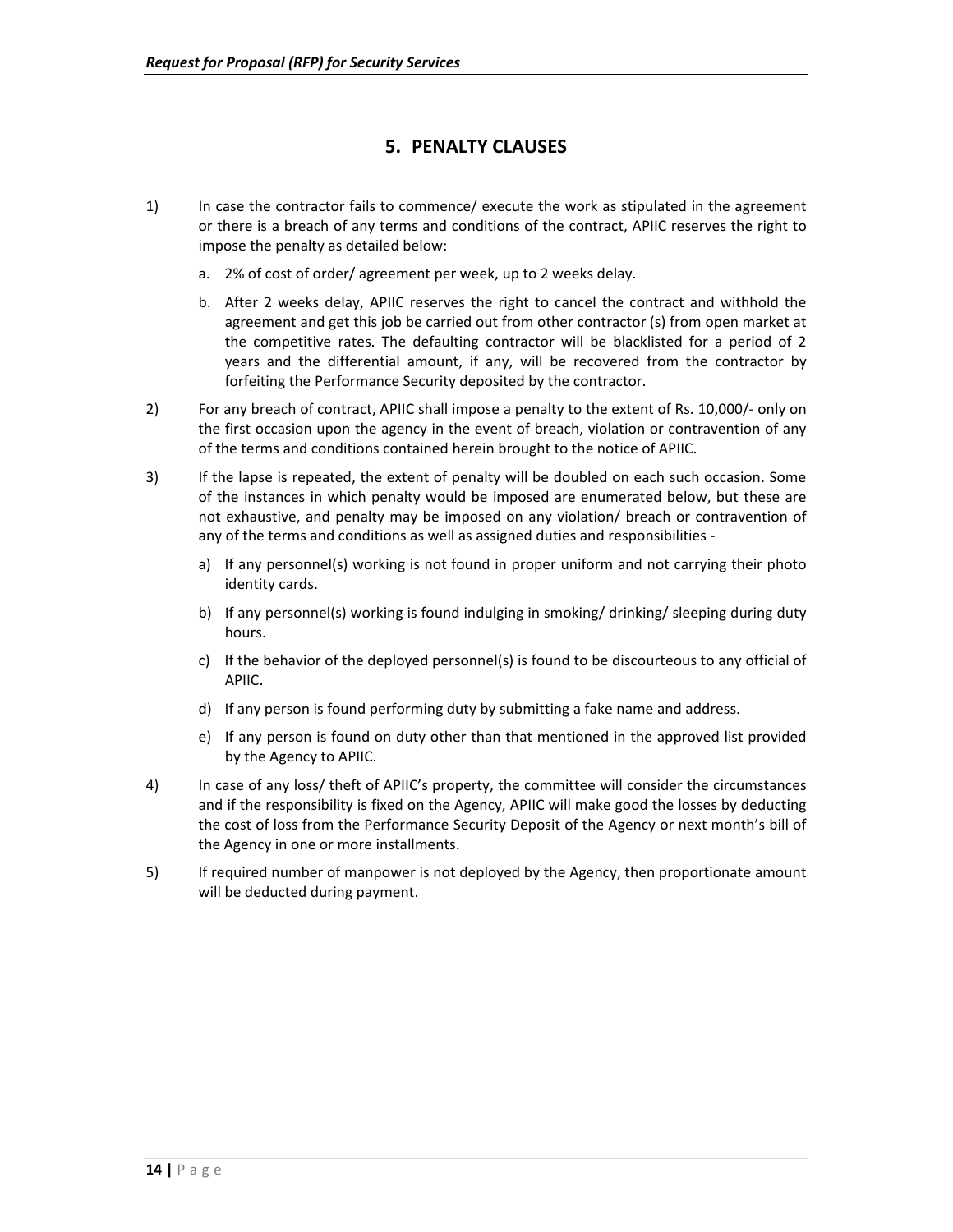## **5. PENALTY CLAUSES**

- 1) In case the contractor fails to commence/ execute the work as stipulated in the agreement or there is a breach of any terms and conditions of the contract, APIIC reserves the right to impose the penalty as detailed below:
	- a. 2% of cost of order/ agreement per week, up to 2 weeks delay.
	- b. After 2 weeks delay, APIIC reserves the right to cancel the contract and withhold the agreement and get this job be carried out from other contractor (s) from open market at the competitive rates. The defaulting contractor will be blacklisted for a period of 2 years and the differential amount, if any, will be recovered from the contractor by forfeiting the Performance Security deposited by the contractor.
- 2) For any breach of contract, APIIC shall impose a penalty to the extent of Rs. 10,000/- only on the first occasion upon the agency in the event of breach, violation or contravention of any of the terms and conditions contained herein brought to the notice of APIIC.
- 3) If the lapse is repeated, the extent of penalty will be doubled on each such occasion. Some of the instances in which penalty would be imposed are enumerated below, but these are not exhaustive, and penalty may be imposed on any violation/ breach or contravention of any of the terms and conditions as well as assigned duties and responsibilities
	- a) If any personnel(s) working is not found in proper uniform and not carrying their photo identity cards.
	- b) If any personnel(s) working is found indulging in smoking/ drinking/ sleeping during duty hours.
	- c) If the behavior of the deployed personnel(s) is found to be discourteous to any official of APIIC.
	- d) If any person is found performing duty by submitting a fake name and address.
	- e) If any person is found on duty other than that mentioned in the approved list provided by the Agency to APIIC.
- 4) In case of any loss/ theft of APIIC's property, the committee will consider the circumstances and if the responsibility is fixed on the Agency, APIIC will make good the losses by deducting the cost of loss from the Performance Security Deposit of the Agency or next month's bill of the Agency in one or more installments.
- 5) If required number of manpower is not deployed by the Agency, then proportionate amount will be deducted during payment.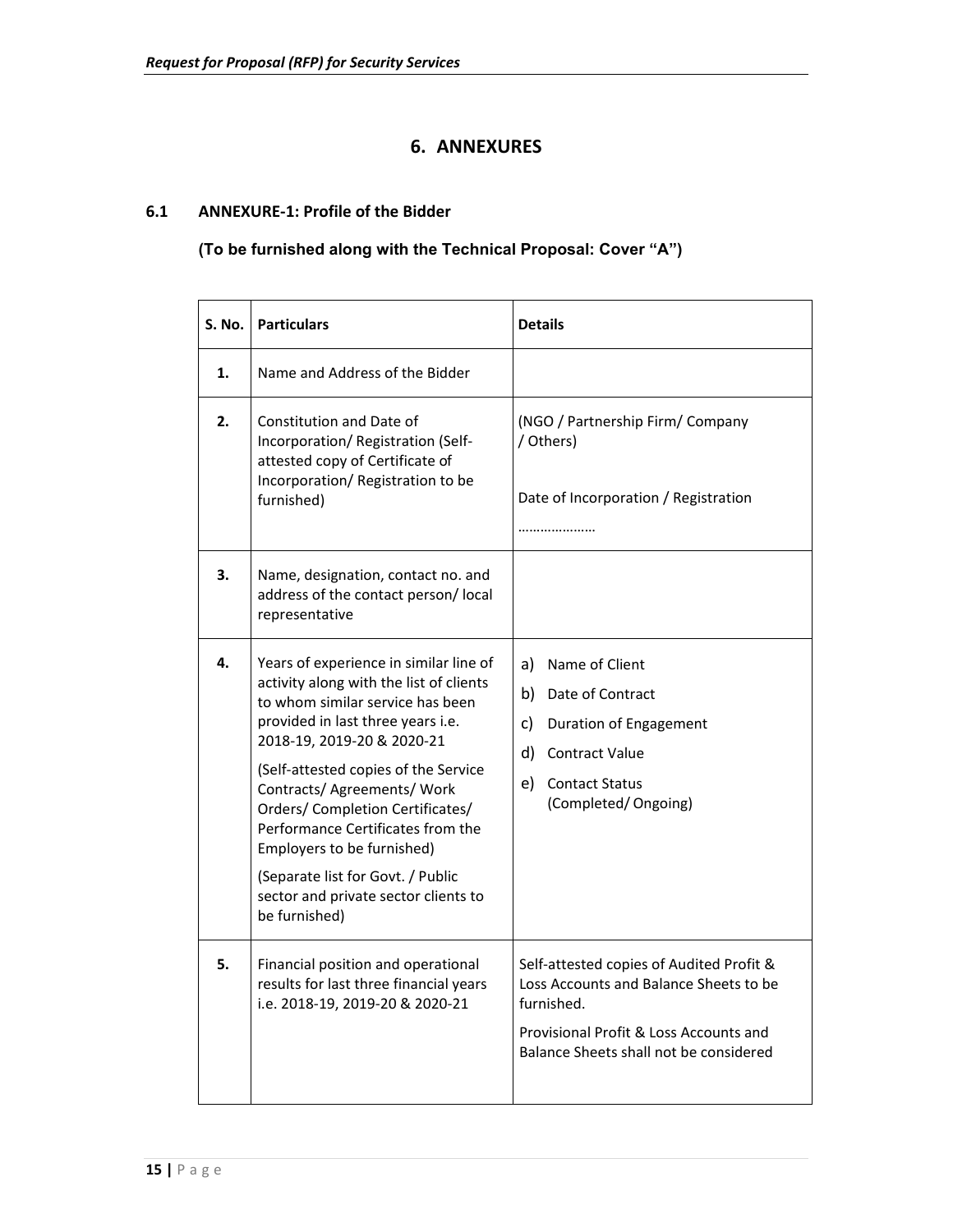## **6. ANNEXURES**

#### **6.1 ANNEXURE‐1: Profile of the Bidder**

## **(To be furnished along with the Technical Proposal: Cover "A")**

| <b>S. No.</b> | <b>Particulars</b>                                                                                                                                                                                                                                                                                                                                                                                                                                                   | <b>Details</b>                                                                                                                                                                       |
|---------------|----------------------------------------------------------------------------------------------------------------------------------------------------------------------------------------------------------------------------------------------------------------------------------------------------------------------------------------------------------------------------------------------------------------------------------------------------------------------|--------------------------------------------------------------------------------------------------------------------------------------------------------------------------------------|
| 1.            | Name and Address of the Bidder                                                                                                                                                                                                                                                                                                                                                                                                                                       |                                                                                                                                                                                      |
| 2.            | <b>Constitution and Date of</b><br>Incorporation/ Registration (Self-<br>attested copy of Certificate of<br>Incorporation/ Registration to be<br>furnished)                                                                                                                                                                                                                                                                                                          | (NGO / Partnership Firm/ Company<br>/ Others)<br>Date of Incorporation / Registration                                                                                                |
| 3.            | Name, designation, contact no. and<br>address of the contact person/local<br>representative                                                                                                                                                                                                                                                                                                                                                                          |                                                                                                                                                                                      |
| 4.            | Years of experience in similar line of<br>activity along with the list of clients<br>to whom similar service has been<br>provided in last three years i.e.<br>2018-19, 2019-20 & 2020-21<br>(Self-attested copies of the Service<br>Contracts/ Agreements/ Work<br>Orders/ Completion Certificates/<br>Performance Certificates from the<br>Employers to be furnished)<br>(Separate list for Govt. / Public<br>sector and private sector clients to<br>be furnished) | Name of Client<br>a)<br>b) Date of Contract<br>c)<br>Duration of Engagement<br>d) Contract Value<br>e) Contact Status<br>(Completed/Ongoing)                                         |
| 5.            | Financial position and operational<br>results for last three financial years<br>i.e. 2018-19, 2019-20 & 2020-21                                                                                                                                                                                                                                                                                                                                                      | Self-attested copies of Audited Profit &<br>Loss Accounts and Balance Sheets to be<br>furnished.<br>Provisional Profit & Loss Accounts and<br>Balance Sheets shall not be considered |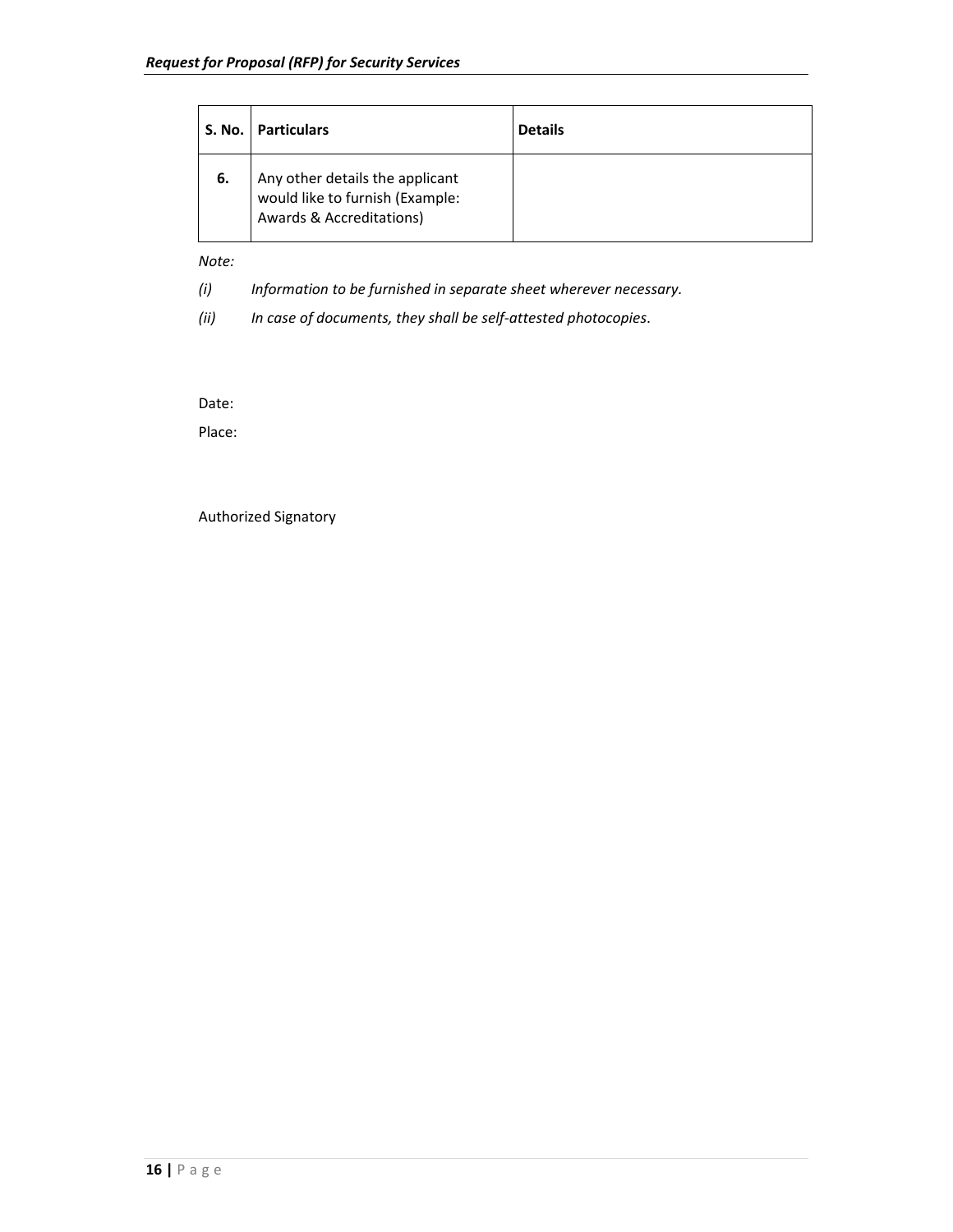|    | S. No.   Particulars                                                                           | <b>Details</b> |
|----|------------------------------------------------------------------------------------------------|----------------|
| 6. | Any other details the applicant<br>would like to furnish (Example:<br>Awards & Accreditations) |                |

*Note:* 

*(i) Information to be furnished in separate sheet wherever necessary.* 

*(ii) In case of documents, they shall be self‐attested photocopies*.

Date:

Place:

Authorized Signatory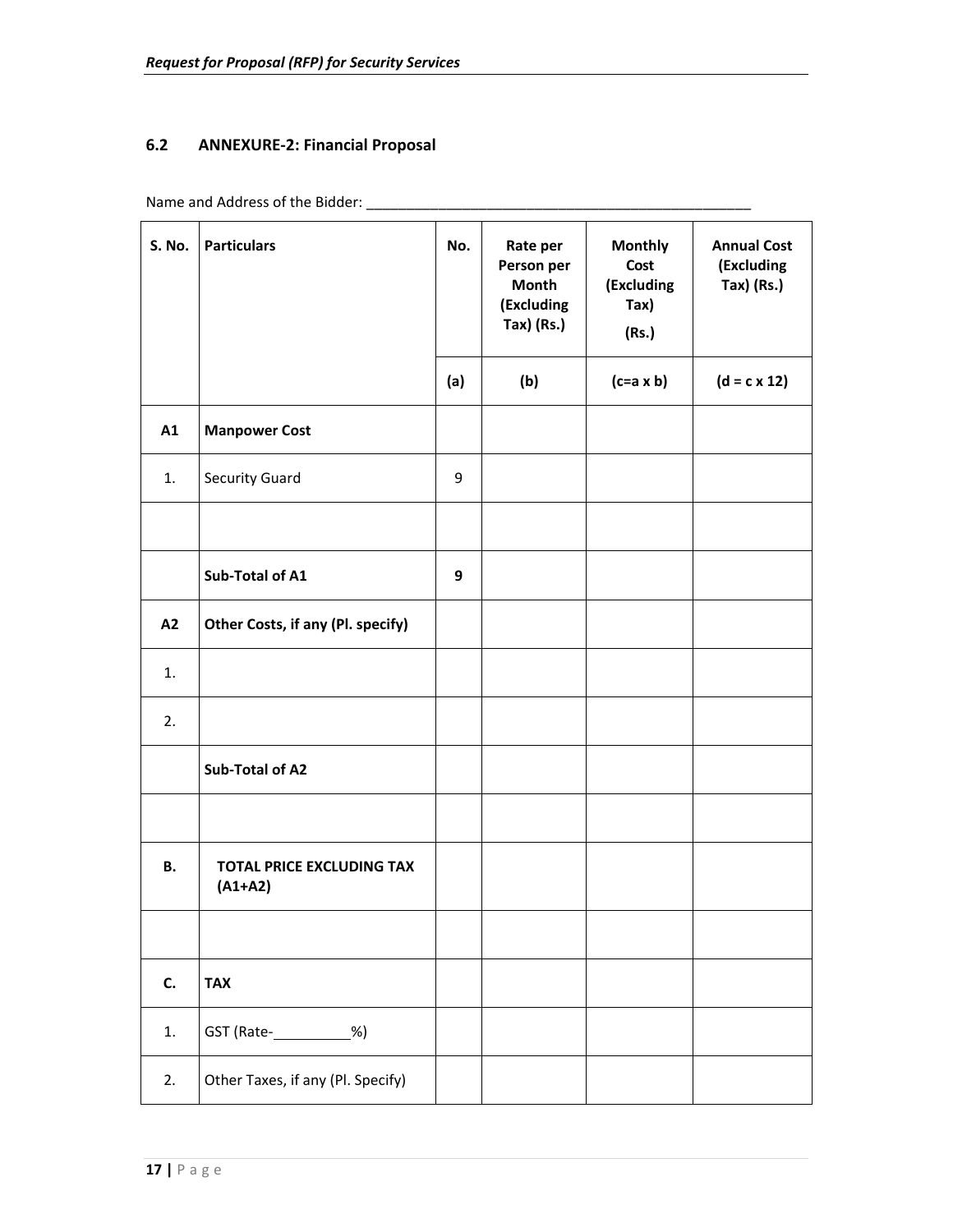#### **6.2 ANNEXURE‐2: Financial Proposal**

Name and Address of the Bidder: \_\_\_\_\_\_\_\_\_\_\_\_\_\_\_\_\_\_\_\_\_\_\_\_\_\_\_\_\_\_\_\_\_\_\_\_\_\_\_\_\_\_\_\_\_\_\_\_

| <b>S. No.</b> | <b>Particulars</b>                            | No. | Rate per<br>Person per<br><b>Month</b><br>(Excluding<br>Tax) (Rs.) | <b>Monthly</b><br>Cost<br>(Excluding<br>$\text{Tax}$<br>(Rs.) | <b>Annual Cost</b><br>(Excluding<br>$Tax)$ (Rs.) |
|---------------|-----------------------------------------------|-----|--------------------------------------------------------------------|---------------------------------------------------------------|--------------------------------------------------|
|               |                                               | (a) | (b)                                                                | $(c=a \times b)$                                              | $(d = c \times 12)$                              |
| A1            | <b>Manpower Cost</b>                          |     |                                                                    |                                                               |                                                  |
| 1.            | Security Guard                                | 9   |                                                                    |                                                               |                                                  |
|               |                                               |     |                                                                    |                                                               |                                                  |
|               | Sub-Total of A1                               | 9   |                                                                    |                                                               |                                                  |
| A2            | Other Costs, if any (Pl. specify)             |     |                                                                    |                                                               |                                                  |
| 1.            |                                               |     |                                                                    |                                                               |                                                  |
| 2.            |                                               |     |                                                                    |                                                               |                                                  |
|               | Sub-Total of A2                               |     |                                                                    |                                                               |                                                  |
|               |                                               |     |                                                                    |                                                               |                                                  |
| <b>B.</b>     | <b>TOTAL PRICE EXCLUDING TAX</b><br>$(A1+A2)$ |     |                                                                    |                                                               |                                                  |
|               |                                               |     |                                                                    |                                                               |                                                  |
| C.            | <b>TAX</b>                                    |     |                                                                    |                                                               |                                                  |
| 1.            | GST (Rate- ___________%)                      |     |                                                                    |                                                               |                                                  |
| 2.            | Other Taxes, if any (Pl. Specify)             |     |                                                                    |                                                               |                                                  |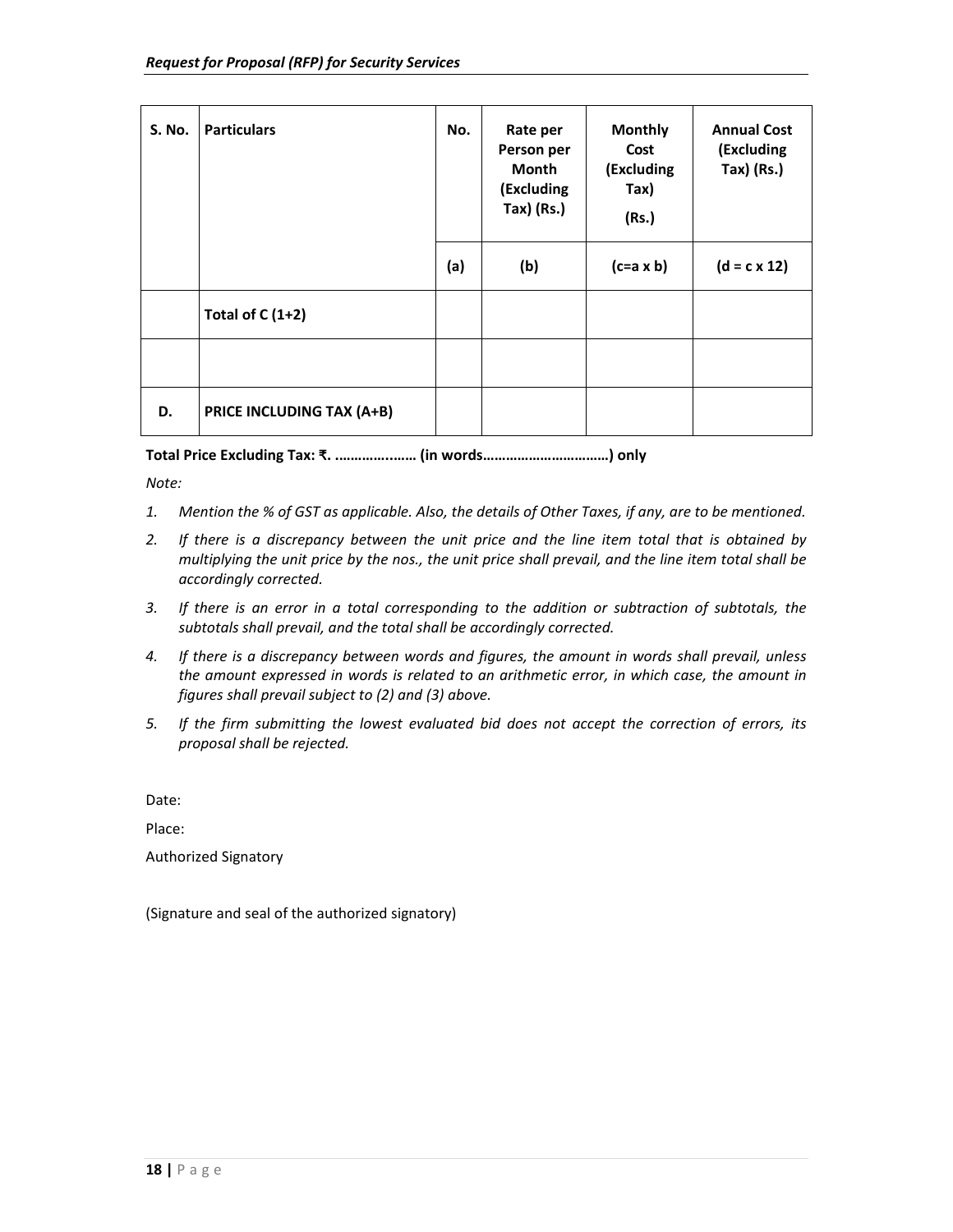| <b>S. No.</b> | <b>Particulars</b>               | No. | Rate per<br>Person per<br>Month<br>(Excluding<br>Tax) (Rs.) | <b>Monthly</b><br>Cost<br>(Excluding<br>Tax)<br>(Rs.) | <b>Annual Cost</b><br>(Excluding<br>$Tax)$ (Rs.) |
|---------------|----------------------------------|-----|-------------------------------------------------------------|-------------------------------------------------------|--------------------------------------------------|
|               |                                  | (a) | (b)                                                         | $(c=a \times b)$                                      | $(d = c \times 12)$                              |
|               | Total of $C(1+2)$                |     |                                                             |                                                       |                                                  |
|               |                                  |     |                                                             |                                                       |                                                  |
| D.            | <b>PRICE INCLUDING TAX (A+B)</b> |     |                                                             |                                                       |                                                  |

**Total Price Excluding Tax: ₹. .…………..…… (in words……………………………) only** 

*Note:* 

- *1. Mention the % of GST as applicable. Also, the details of Other Taxes, if any, are to be mentioned.*
- *2. If there is a discrepancy between the unit price and the line item total that is obtained by multiplying the unit price by the nos., the unit price shall prevail, and the line item total shall be accordingly corrected.*
- *3. If there is an error in a total corresponding to the addition or subtraction of subtotals, the subtotals shall prevail, and the total shall be accordingly corrected.*
- *4. If there is a discrepancy between words and figures, the amount in words shall prevail, unless the amount expressed in words is related to an arithmetic error, in which case, the amount in figures shall prevail subject to (2) and (3) above.*
- *5. If the firm submitting the lowest evaluated bid does not accept the correction of errors, its proposal shall be rejected.*

Date:

Place:

Authorized Signatory

(Signature and seal of the authorized signatory)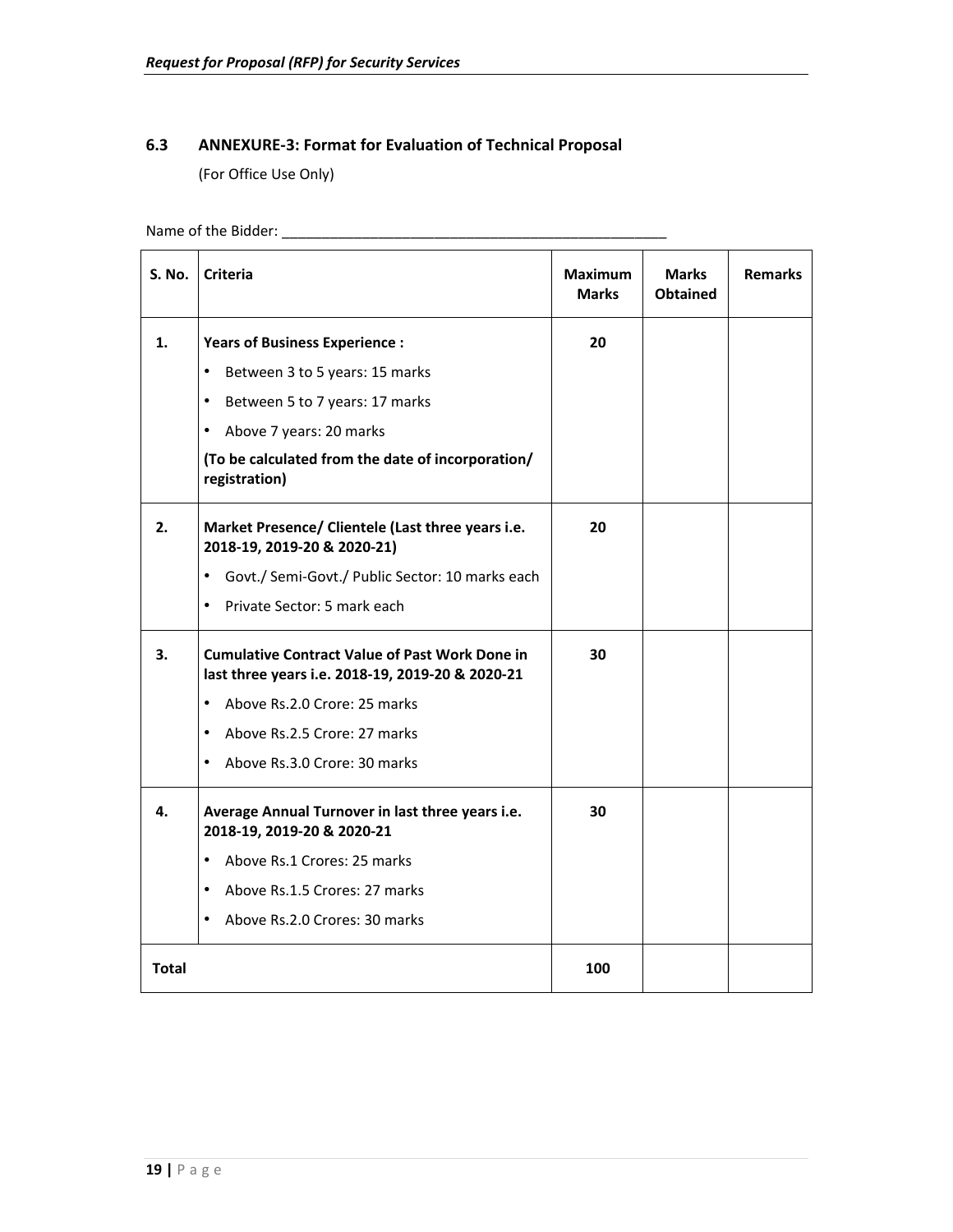#### **6.3 ANNEXURE‐3: Format for Evaluation of Technical Proposal**

(For Office Use Only)

Name of the Bidder: \_\_\_\_\_\_\_\_\_\_\_\_\_\_\_\_\_\_\_\_\_\_\_\_\_\_\_\_\_\_\_\_\_\_\_\_\_\_\_\_\_\_\_\_\_\_\_\_

| S. No.       | <b>Criteria</b>                                                                                           | <b>Maximum</b><br><b>Marks</b> | <b>Marks</b><br><b>Obtained</b> | <b>Remarks</b> |
|--------------|-----------------------------------------------------------------------------------------------------------|--------------------------------|---------------------------------|----------------|
| 1.           | <b>Years of Business Experience:</b>                                                                      | 20                             |                                 |                |
|              | Between 3 to 5 years: 15 marks<br>٠                                                                       |                                |                                 |                |
|              | Between 5 to 7 years: 17 marks<br>٠                                                                       |                                |                                 |                |
|              | Above 7 years: 20 marks<br>$\bullet$                                                                      |                                |                                 |                |
|              | (To be calculated from the date of incorporation/<br>registration)                                        |                                |                                 |                |
| 2.           | Market Presence/ Clientele (Last three years i.e.<br>2018-19, 2019-20 & 2020-21)                          | 20                             |                                 |                |
|              | Govt./ Semi-Govt./ Public Sector: 10 marks each<br>$\bullet$                                              |                                |                                 |                |
|              | Private Sector: 5 mark each<br>$\bullet$                                                                  |                                |                                 |                |
| 3.           | <b>Cumulative Contract Value of Past Work Done in</b><br>last three years i.e. 2018-19, 2019-20 & 2020-21 | 30                             |                                 |                |
|              | $\bullet$<br>Above Rs.2.0 Crore: 25 marks                                                                 |                                |                                 |                |
|              | $\bullet$<br>Above Rs.2.5 Crore: 27 marks                                                                 |                                |                                 |                |
|              | $\bullet$<br>Above Rs.3.0 Crore: 30 marks                                                                 |                                |                                 |                |
| 4.           | Average Annual Turnover in last three years i.e.<br>2018-19, 2019-20 & 2020-21                            | 30                             |                                 |                |
|              | Above Rs.1 Crores: 25 marks<br>$\bullet$                                                                  |                                |                                 |                |
|              | Above Rs.1.5 Crores: 27 marks<br>$\bullet$                                                                |                                |                                 |                |
|              | Above Rs.2.0 Crores: 30 marks<br>$\bullet$                                                                |                                |                                 |                |
| <b>Total</b> |                                                                                                           | 100                            |                                 |                |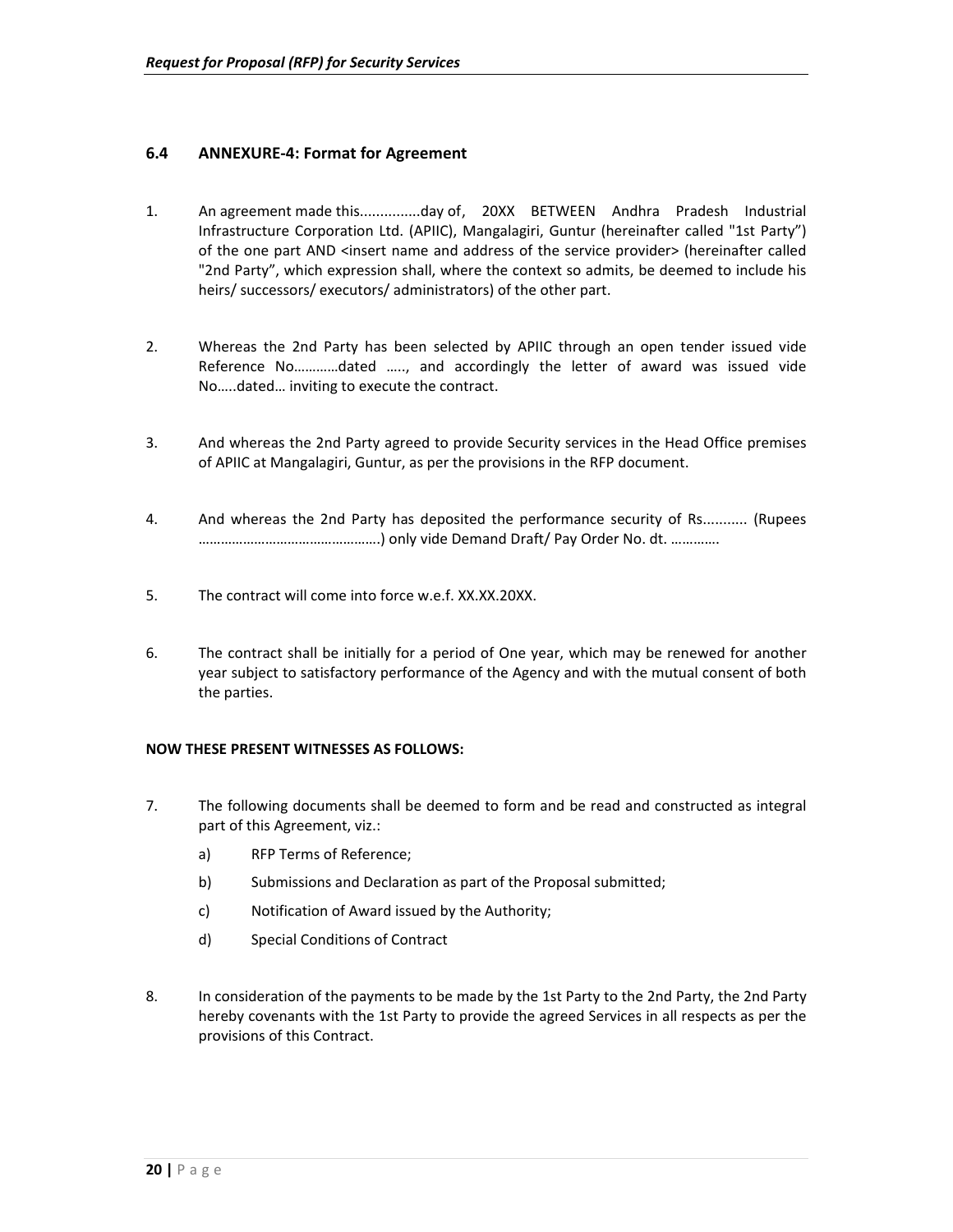#### **6.4 ANNEXURE‐4: Format for Agreement**

- 1. An agreement made this...............day of, 20XX BETWEEN Andhra Pradesh Industrial Infrastructure Corporation Ltd. (APIIC), Mangalagiri, Guntur (hereinafter called "1st Party") of the one part AND <insert name and address of the service provider> (hereinafter called "2nd Party", which expression shall, where the context so admits, be deemed to include his heirs/ successors/ executors/ administrators) of the other part.
- 2. Whereas the 2nd Party has been selected by APIIC through an open tender issued vide Reference No…………dated ….., and accordingly the letter of award was issued vide No…..dated… inviting to execute the contract.
- 3. And whereas the 2nd Party agreed to provide Security services in the Head Office premises of APIIC at Mangalagiri, Guntur, as per the provisions in the RFP document.
- 4. And whereas the 2nd Party has deposited the performance security of Rs........... (Rupees ………………………………………….) only vide Demand Draft/ Pay Order No. dt. ………….
- 5. The contract will come into force w.e.f. XX.XX.20XX.
- 6. The contract shall be initially for a period of One year, which may be renewed for another year subject to satisfactory performance of the Agency and with the mutual consent of both the parties.

#### **NOW THESE PRESENT WITNESSES AS FOLLOWS:**

- 7. The following documents shall be deemed to form and be read and constructed as integral part of this Agreement, viz.:
	- a) RFP Terms of Reference;
	- b) Submissions and Declaration as part of the Proposal submitted;
	- c) Notification of Award issued by the Authority;
	- d) Special Conditions of Contract
- 8. In consideration of the payments to be made by the 1st Party to the 2nd Party, the 2nd Party hereby covenants with the 1st Party to provide the agreed Services in all respects as per the provisions of this Contract.